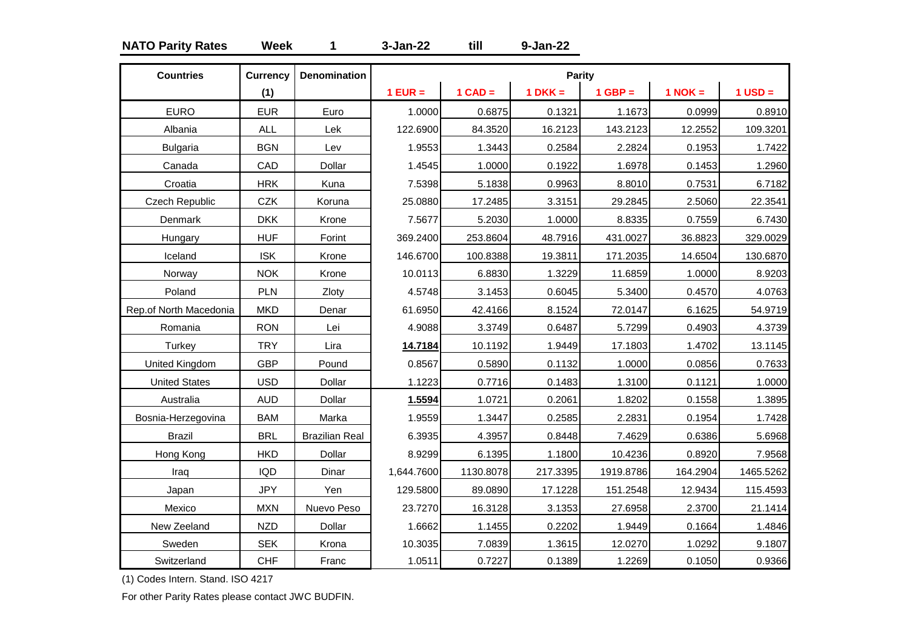# **NATO Parity Rates Week 1 3-Jan-22 till 9-Jan-22**

| <b>Countries</b>       | <b>Currency</b> | <b>Denomination</b>   |            |           | Parity    |           |             |             |
|------------------------|-----------------|-----------------------|------------|-----------|-----------|-----------|-------------|-------------|
|                        | (1)             |                       | $1$ EUR =  | $1$ CAD = | $1$ DKK = | $1$ GBP = | $1$ NOK $=$ | $1$ USD $=$ |
| <b>EURO</b>            | <b>EUR</b>      | Euro                  | 1.0000     | 0.6875    | 0.1321    | 1.1673    | 0.0999      | 0.8910      |
| Albania                | <b>ALL</b>      | Lek                   | 122.6900   | 84.3520   | 16.2123   | 143.2123  | 12.2552     | 109.3201    |
| <b>Bulgaria</b>        | <b>BGN</b>      | Lev                   | 1.9553     | 1.3443    | 0.2584    | 2.2824    | 0.1953      | 1.7422      |
| Canada                 | CAD             | Dollar                | 1.4545     | 1.0000    | 0.1922    | 1.6978    | 0.1453      | 1.2960      |
| Croatia                | <b>HRK</b>      | Kuna                  | 7.5398     | 5.1838    | 0.9963    | 8.8010    | 0.7531      | 6.7182      |
| <b>Czech Republic</b>  | <b>CZK</b>      | Koruna                | 25.0880    | 17.2485   | 3.3151    | 29.2845   | 2.5060      | 22.3541     |
| Denmark                | <b>DKK</b>      | Krone                 | 7.5677     | 5.2030    | 1.0000    | 8.8335    | 0.7559      | 6.7430      |
| Hungary                | <b>HUF</b>      | Forint                | 369.2400   | 253.8604  | 48.7916   | 431.0027  | 36.8823     | 329.0029    |
| Iceland                | <b>ISK</b>      | Krone                 | 146.6700   | 100.8388  | 19.3811   | 171.2035  | 14.6504     | 130.6870    |
| Norway                 | <b>NOK</b>      | Krone                 | 10.0113    | 6.8830    | 1.3229    | 11.6859   | 1.0000      | 8.9203      |
| Poland                 | PLN             | Zloty                 | 4.5748     | 3.1453    | 0.6045    | 5.3400    | 0.4570      | 4.0763      |
| Rep.of North Macedonia | <b>MKD</b>      | Denar                 | 61.6950    | 42.4166   | 8.1524    | 72.0147   | 6.1625      | 54.9719     |
| Romania                | <b>RON</b>      | Lei                   | 4.9088     | 3.3749    | 0.6487    | 5.7299    | 0.4903      | 4.3739      |
| Turkey                 | <b>TRY</b>      | Lira                  | 14.7184    | 10.1192   | 1.9449    | 17.1803   | 1.4702      | 13.1145     |
| <b>United Kingdom</b>  | <b>GBP</b>      | Pound                 | 0.8567     | 0.5890    | 0.1132    | 1.0000    | 0.0856      | 0.7633      |
| <b>United States</b>   | <b>USD</b>      | Dollar                | 1.1223     | 0.7716    | 0.1483    | 1.3100    | 0.1121      | 1.0000      |
| Australia              | <b>AUD</b>      | Dollar                | 1.5594     | 1.0721    | 0.2061    | 1.8202    | 0.1558      | 1.3895      |
| Bosnia-Herzegovina     | <b>BAM</b>      | Marka                 | 1.9559     | 1.3447    | 0.2585    | 2.2831    | 0.1954      | 1.7428      |
| <b>Brazil</b>          | <b>BRL</b>      | <b>Brazilian Real</b> | 6.3935     | 4.3957    | 0.8448    | 7.4629    | 0.6386      | 5.6968      |
| Hong Kong              | <b>HKD</b>      | Dollar                | 8.9299     | 6.1395    | 1.1800    | 10.4236   | 0.8920      | 7.9568      |
| Iraq                   | <b>IQD</b>      | Dinar                 | 1,644.7600 | 1130.8078 | 217.3395  | 1919.8786 | 164.2904    | 1465.5262   |
| Japan                  | <b>JPY</b>      | Yen                   | 129.5800   | 89.0890   | 17.1228   | 151.2548  | 12.9434     | 115.4593    |
| Mexico                 | <b>MXN</b>      | Nuevo Peso            | 23.7270    | 16.3128   | 3.1353    | 27.6958   | 2.3700      | 21.1414     |
| New Zeeland            | <b>NZD</b>      | Dollar                | 1.6662     | 1.1455    | 0.2202    | 1.9449    | 0.1664      | 1.4846      |
| Sweden                 | <b>SEK</b>      | Krona                 | 10.3035    | 7.0839    | 1.3615    | 12.0270   | 1.0292      | 9.1807      |
| Switzerland            | <b>CHF</b>      | Franc                 | 1.0511     | 0.7227    | 0.1389    | 1.2269    | 0.1050      | 0.9366      |

(1) Codes Intern. Stand. ISO 4217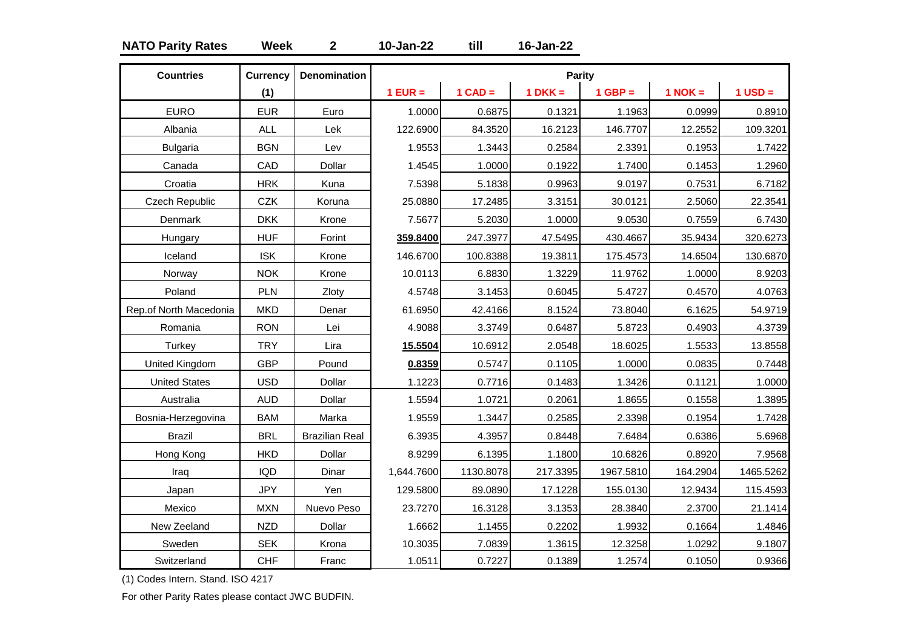# **NATO Parity Rates Week 2 10-Jan-22 till 16-Jan-22**

| <b>Countries</b>       | <b>Currency</b> | <b>Denomination</b>   |            |           | Parity    |           |           |             |
|------------------------|-----------------|-----------------------|------------|-----------|-----------|-----------|-----------|-------------|
|                        | (1)             |                       | $1$ EUR =  | $1$ CAD = | $1 DKK =$ | $1$ GBP = | $1$ NOK = | $1$ USD $=$ |
| <b>EURO</b>            | <b>EUR</b>      | Euro                  | 1.0000     | 0.6875    | 0.1321    | 1.1963    | 0.0999    | 0.8910      |
| Albania                | <b>ALL</b>      | Lek                   | 122.6900   | 84.3520   | 16.2123   | 146.7707  | 12.2552   | 109.3201    |
| <b>Bulgaria</b>        | <b>BGN</b>      | Lev                   | 1.9553     | 1.3443    | 0.2584    | 2.3391    | 0.1953    | 1.7422      |
| Canada                 | CAD             | Dollar                | 1.4545     | 1.0000    | 0.1922    | 1.7400    | 0.1453    | 1.2960      |
| Croatia                | <b>HRK</b>      | Kuna                  | 7.5398     | 5.1838    | 0.9963    | 9.0197    | 0.7531    | 6.7182      |
| Czech Republic         | <b>CZK</b>      | Koruna                | 25.0880    | 17.2485   | 3.3151    | 30.0121   | 2.5060    | 22.3541     |
| Denmark                | <b>DKK</b>      | Krone                 | 7.5677     | 5.2030    | 1.0000    | 9.0530    | 0.7559    | 6.7430      |
| Hungary                | <b>HUF</b>      | Forint                | 359.8400   | 247.3977  | 47.5495   | 430.4667  | 35.9434   | 320.6273    |
| Iceland                | <b>ISK</b>      | Krone                 | 146.6700   | 100.8388  | 19.3811   | 175.4573  | 14.6504   | 130.6870    |
| Norway                 | <b>NOK</b>      | Krone                 | 10.0113    | 6.8830    | 1.3229    | 11.9762   | 1.0000    | 8.9203      |
| Poland                 | PLN             | Zloty                 | 4.5748     | 3.1453    | 0.6045    | 5.4727    | 0.4570    | 4.0763      |
| Rep.of North Macedonia | <b>MKD</b>      | Denar                 | 61.6950    | 42.4166   | 8.1524    | 73.8040   | 6.1625    | 54.9719     |
| Romania                | <b>RON</b>      | Lei                   | 4.9088     | 3.3749    | 0.6487    | 5.8723    | 0.4903    | 4.3739      |
| Turkey                 | <b>TRY</b>      | Lira                  | 15.5504    | 10.6912   | 2.0548    | 18.6025   | 1.5533    | 13.8558     |
| United Kingdom         | <b>GBP</b>      | Pound                 | 0.8359     | 0.5747    | 0.1105    | 1.0000    | 0.0835    | 0.7448      |
| <b>United States</b>   | <b>USD</b>      | Dollar                | 1.1223     | 0.7716    | 0.1483    | 1.3426    | 0.1121    | 1.0000      |
| Australia              | <b>AUD</b>      | Dollar                | 1.5594     | 1.0721    | 0.2061    | 1.8655    | 0.1558    | 1.3895      |
| Bosnia-Herzegovina     | <b>BAM</b>      | Marka                 | 1.9559     | 1.3447    | 0.2585    | 2.3398    | 0.1954    | 1.7428      |
| <b>Brazil</b>          | <b>BRL</b>      | <b>Brazilian Real</b> | 6.3935     | 4.3957    | 0.8448    | 7.6484    | 0.6386    | 5.6968      |
| Hong Kong              | <b>HKD</b>      | Dollar                | 8.9299     | 6.1395    | 1.1800    | 10.6826   | 0.8920    | 7.9568      |
| Iraq                   | <b>IQD</b>      | Dinar                 | 1,644.7600 | 1130.8078 | 217.3395  | 1967.5810 | 164.2904  | 1465.5262   |
| Japan                  | <b>JPY</b>      | Yen                   | 129.5800   | 89.0890   | 17.1228   | 155.0130  | 12.9434   | 115.4593    |
| Mexico                 | <b>MXN</b>      | Nuevo Peso            | 23.7270    | 16.3128   | 3.1353    | 28.3840   | 2.3700    | 21.1414     |
| New Zeeland            | <b>NZD</b>      | Dollar                | 1.6662     | 1.1455    | 0.2202    | 1.9932    | 0.1664    | 1.4846      |
| Sweden                 | <b>SEK</b>      | Krona                 | 10.3035    | 7.0839    | 1.3615    | 12.3258   | 1.0292    | 9.1807      |
| Switzerland            | <b>CHF</b>      | Franc                 | 1.0511     | 0.7227    | 0.1389    | 1.2574    | 0.1050    | 0.9366      |

(1) Codes Intern. Stand. ISO 4217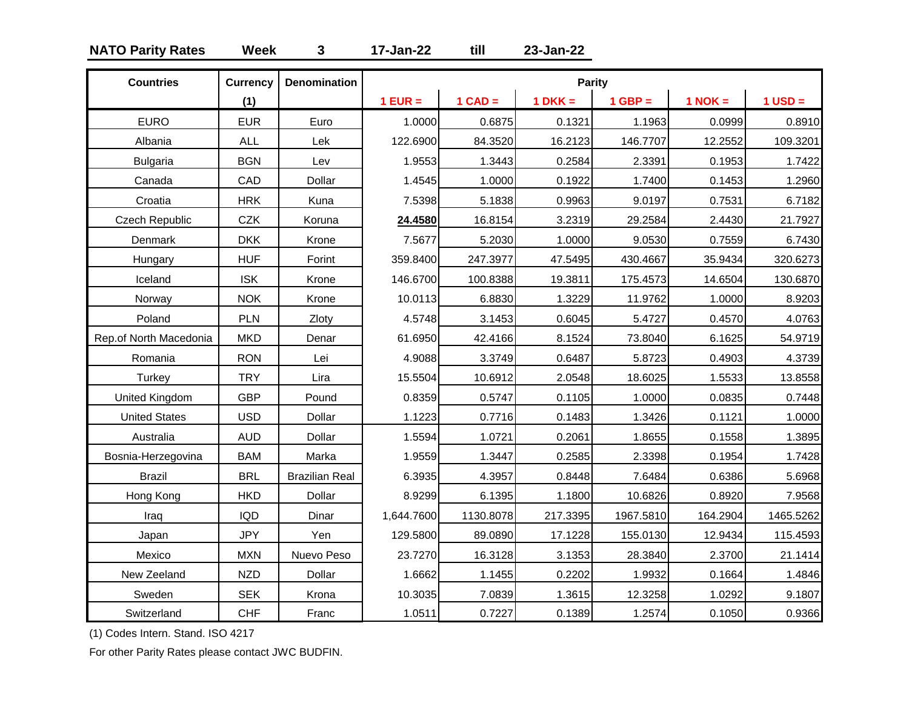# **NATO Parity Rates Week 3 17-Jan-22 till 23-Jan-22**

| <b>Countries</b>       | <b>Currency</b> | <b>Denomination</b>   |            |           | <b>Parity</b> |             |             |           |
|------------------------|-----------------|-----------------------|------------|-----------|---------------|-------------|-------------|-----------|
|                        | (1)             |                       | $1$ EUR =  | $1$ CAD = | $1 DKK =$     | $1$ GBP $=$ | $1$ NOK $=$ | $1$ USD = |
| <b>EURO</b>            | <b>EUR</b>      | Euro                  | 1.0000     | 0.6875    | 0.1321        | 1.1963      | 0.0999      | 0.8910    |
| Albania                | <b>ALL</b>      | Lek                   | 122.6900   | 84.3520   | 16.2123       | 146.7707    | 12.2552     | 109.3201  |
| <b>Bulgaria</b>        | <b>BGN</b>      | Lev                   | 1.9553     | 1.3443    | 0.2584        | 2.3391      | 0.1953      | 1.7422    |
| Canada                 | CAD             | Dollar                | 1.4545     | 1.0000    | 0.1922        | 1.7400      | 0.1453      | 1.2960    |
| Croatia                | <b>HRK</b>      | Kuna                  | 7.5398     | 5.1838    | 0.9963        | 9.0197      | 0.7531      | 6.7182    |
| <b>Czech Republic</b>  | <b>CZK</b>      | Koruna                | 24.4580    | 16.8154   | 3.2319        | 29.2584     | 2.4430      | 21.7927   |
| Denmark                | <b>DKK</b>      | Krone                 | 7.5677     | 5.2030    | 1.0000        | 9.0530      | 0.7559      | 6.7430    |
| Hungary                | <b>HUF</b>      | Forint                | 359.8400   | 247.3977  | 47.5495       | 430.4667    | 35.9434     | 320.6273  |
| Iceland                | <b>ISK</b>      | Krone                 | 146.6700   | 100.8388  | 19.3811       | 175.4573    | 14.6504     | 130.6870  |
| Norway                 | <b>NOK</b>      | Krone                 | 10.0113    | 6.8830    | 1.3229        | 11.9762     | 1.0000      | 8.9203    |
| Poland                 | <b>PLN</b>      | Zloty                 | 4.5748     | 3.1453    | 0.6045        | 5.4727      | 0.4570      | 4.0763    |
| Rep.of North Macedonia | <b>MKD</b>      | Denar                 | 61.6950    | 42.4166   | 8.1524        | 73.8040     | 6.1625      | 54.9719   |
| Romania                | <b>RON</b>      | Lei                   | 4.9088     | 3.3749    | 0.6487        | 5.8723      | 0.4903      | 4.3739    |
| Turkey                 | <b>TRY</b>      | Lira                  | 15.5504    | 10.6912   | 2.0548        | 18.6025     | 1.5533      | 13.8558   |
| <b>United Kingdom</b>  | <b>GBP</b>      | Pound                 | 0.8359     | 0.5747    | 0.1105        | 1.0000      | 0.0835      | 0.7448    |
| <b>United States</b>   | <b>USD</b>      | Dollar                | 1.1223     | 0.7716    | 0.1483        | 1.3426      | 0.1121      | 1.0000    |
| Australia              | <b>AUD</b>      | Dollar                | 1.5594     | 1.0721    | 0.2061        | 1.8655      | 0.1558      | 1.3895    |
| Bosnia-Herzegovina     | <b>BAM</b>      | Marka                 | 1.9559     | 1.3447    | 0.2585        | 2.3398      | 0.1954      | 1.7428    |
| <b>Brazil</b>          | <b>BRL</b>      | <b>Brazilian Real</b> | 6.3935     | 4.3957    | 0.8448        | 7.6484      | 0.6386      | 5.6968    |
| Hong Kong              | <b>HKD</b>      | Dollar                | 8.9299     | 6.1395    | 1.1800        | 10.6826     | 0.8920      | 7.9568    |
| Iraq                   | <b>IQD</b>      | Dinar                 | 1,644.7600 | 1130.8078 | 217.3395      | 1967.5810   | 164.2904    | 1465.5262 |
| Japan                  | <b>JPY</b>      | Yen                   | 129.5800   | 89.0890   | 17.1228       | 155.0130    | 12.9434     | 115.4593  |
| Mexico                 | <b>MXN</b>      | Nuevo Peso            | 23.7270    | 16.3128   | 3.1353        | 28.3840     | 2.3700      | 21.1414   |
| New Zeeland            | <b>NZD</b>      | Dollar                | 1.6662     | 1.1455    | 0.2202        | 1.9932      | 0.1664      | 1.4846    |
| Sweden                 | <b>SEK</b>      | Krona                 | 10.3035    | 7.0839    | 1.3615        | 12.3258     | 1.0292      | 9.1807    |
| Switzerland            | <b>CHF</b>      | Franc                 | 1.0511     | 0.7227    | 0.1389        | 1.2574      | 0.1050      | 0.9366    |

(1) Codes Intern. Stand. ISO 4217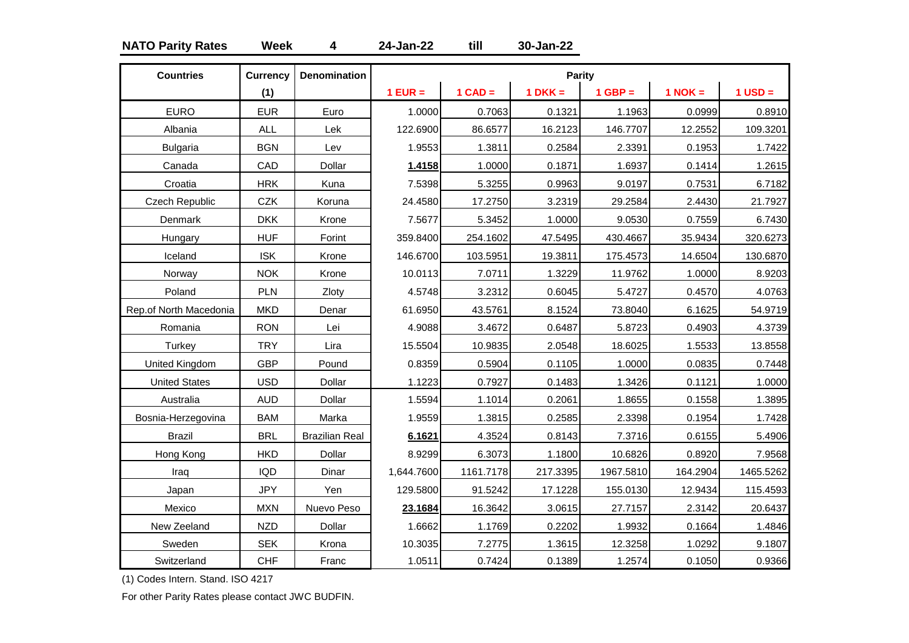# **NATO Parity Rates Week 4 24-Jan-22 till 30-Jan-22**

| <b>Countries</b>       | <b>Currency</b> | <b>Denomination</b>   |            |           | Parity    |           |             |             |
|------------------------|-----------------|-----------------------|------------|-----------|-----------|-----------|-------------|-------------|
|                        | (1)             |                       | $1$ EUR =  | $1$ CAD = | $1 DKK =$ | $1$ GBP = | $1$ NOK $=$ | $1$ USD $=$ |
| <b>EURO</b>            | <b>EUR</b>      | Euro                  | 1.0000     | 0.7063    | 0.1321    | 1.1963    | 0.0999      | 0.8910      |
| Albania                | <b>ALL</b>      | Lek                   | 122.6900   | 86.6577   | 16.2123   | 146.7707  | 12.2552     | 109.3201    |
| <b>Bulgaria</b>        | <b>BGN</b>      | Lev                   | 1.9553     | 1.3811    | 0.2584    | 2.3391    | 0.1953      | 1.7422      |
| Canada                 | CAD             | Dollar                | 1.4158     | 1.0000    | 0.1871    | 1.6937    | 0.1414      | 1.2615      |
| Croatia                | <b>HRK</b>      | Kuna                  | 7.5398     | 5.3255    | 0.9963    | 9.0197    | 0.7531      | 6.7182      |
| <b>Czech Republic</b>  | <b>CZK</b>      | Koruna                | 24.4580    | 17.2750   | 3.2319    | 29.2584   | 2.4430      | 21.7927     |
| Denmark                | <b>DKK</b>      | Krone                 | 7.5677     | 5.3452    | 1.0000    | 9.0530    | 0.7559      | 6.7430      |
| Hungary                | <b>HUF</b>      | Forint                | 359.8400   | 254.1602  | 47.5495   | 430.4667  | 35.9434     | 320.6273    |
| Iceland                | <b>ISK</b>      | Krone                 | 146.6700   | 103.5951  | 19.3811   | 175.4573  | 14.6504     | 130.6870    |
| Norway                 | <b>NOK</b>      | Krone                 | 10.0113    | 7.0711    | 1.3229    | 11.9762   | 1.0000      | 8.9203      |
| Poland                 | PLN             | Zloty                 | 4.5748     | 3.2312    | 0.6045    | 5.4727    | 0.4570      | 4.0763      |
| Rep.of North Macedonia | <b>MKD</b>      | Denar                 | 61.6950    | 43.5761   | 8.1524    | 73.8040   | 6.1625      | 54.9719     |
| Romania                | <b>RON</b>      | Lei                   | 4.9088     | 3.4672    | 0.6487    | 5.8723    | 0.4903      | 4.3739      |
| Turkey                 | <b>TRY</b>      | Lira                  | 15.5504    | 10.9835   | 2.0548    | 18.6025   | 1.5533      | 13.8558     |
| United Kingdom         | <b>GBP</b>      | Pound                 | 0.8359     | 0.5904    | 0.1105    | 1.0000    | 0.0835      | 0.7448      |
| <b>United States</b>   | <b>USD</b>      | Dollar                | 1.1223     | 0.7927    | 0.1483    | 1.3426    | 0.1121      | 1.0000      |
| Australia              | <b>AUD</b>      | Dollar                | 1.5594     | 1.1014    | 0.2061    | 1.8655    | 0.1558      | 1.3895      |
| Bosnia-Herzegovina     | <b>BAM</b>      | Marka                 | 1.9559     | 1.3815    | 0.2585    | 2.3398    | 0.1954      | 1.7428      |
| <b>Brazil</b>          | <b>BRL</b>      | <b>Brazilian Real</b> | 6.1621     | 4.3524    | 0.8143    | 7.3716    | 0.6155      | 5.4906      |
| Hong Kong              | <b>HKD</b>      | Dollar                | 8.9299     | 6.3073    | 1.1800    | 10.6826   | 0.8920      | 7.9568      |
| Iraq                   | <b>IQD</b>      | Dinar                 | 1,644.7600 | 1161.7178 | 217.3395  | 1967.5810 | 164.2904    | 1465.5262   |
| Japan                  | <b>JPY</b>      | Yen                   | 129.5800   | 91.5242   | 17.1228   | 155.0130  | 12.9434     | 115.4593    |
| Mexico                 | <b>MXN</b>      | Nuevo Peso            | 23.1684    | 16.3642   | 3.0615    | 27.7157   | 2.3142      | 20.6437     |
| New Zeeland            | <b>NZD</b>      | Dollar                | 1.6662     | 1.1769    | 0.2202    | 1.9932    | 0.1664      | 1.4846      |
| Sweden                 | <b>SEK</b>      | Krona                 | 10.3035    | 7.2775    | 1.3615    | 12.3258   | 1.0292      | 9.1807      |
| Switzerland            | <b>CHF</b>      | Franc                 | 1.0511     | 0.7424    | 0.1389    | 1.2574    | 0.1050      | 0.9366      |

(1) Codes Intern. Stand. ISO 4217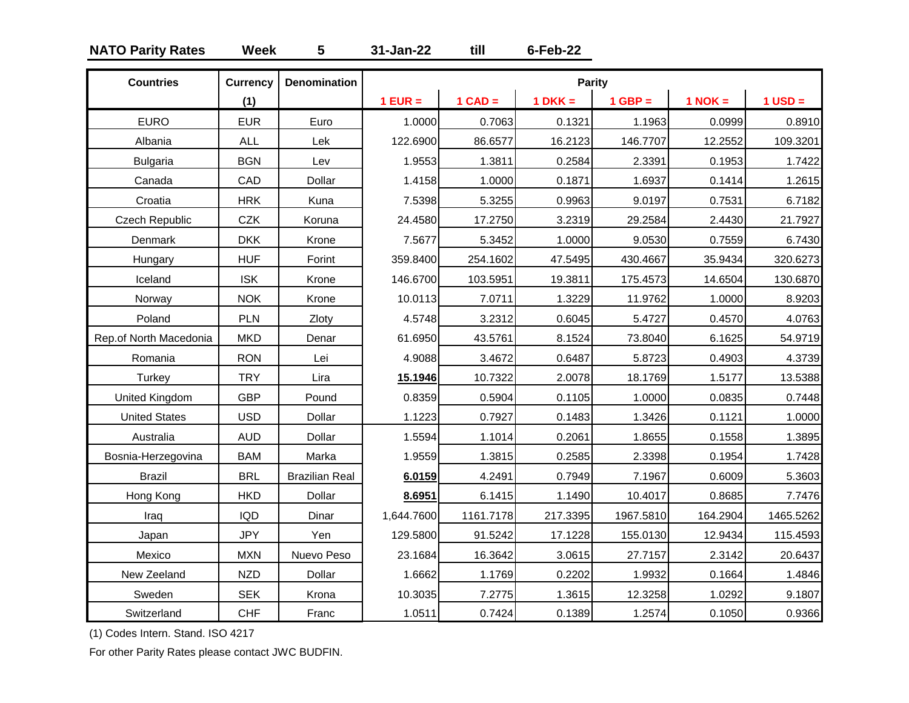# **NATO Parity Rates Week 5 31-Jan-22 till 6-Feb-22**

| <b>Countries</b>       | <b>Currency</b> | <b>Denomination</b>   |            |           | Parity    |           |             |           |
|------------------------|-----------------|-----------------------|------------|-----------|-----------|-----------|-------------|-----------|
|                        | (1)             |                       | $1$ EUR =  | $1$ CAD = | $1 DKK =$ | $1$ GBP = | $1$ NOK $=$ | $1$ USD = |
| <b>EURO</b>            | <b>EUR</b>      | Euro                  | 1.0000     | 0.7063    | 0.1321    | 1.1963    | 0.0999      | 0.8910    |
| Albania                | <b>ALL</b>      | Lek                   | 122.6900   | 86.6577   | 16.2123   | 146.7707  | 12.2552     | 109.3201  |
| <b>Bulgaria</b>        | <b>BGN</b>      | Lev                   | 1.9553     | 1.3811    | 0.2584    | 2.3391    | 0.1953      | 1.7422    |
| Canada                 | CAD             | Dollar                | 1.4158     | 1.0000    | 0.1871    | 1.6937    | 0.1414      | 1.2615    |
| Croatia                | <b>HRK</b>      | Kuna                  | 7.5398     | 5.3255    | 0.9963    | 9.0197    | 0.7531      | 6.7182    |
| Czech Republic         | <b>CZK</b>      | Koruna                | 24.4580    | 17.2750   | 3.2319    | 29.2584   | 2.4430      | 21.7927   |
| Denmark                | <b>DKK</b>      | Krone                 | 7.5677     | 5.3452    | 1.0000    | 9.0530    | 0.7559      | 6.7430    |
| Hungary                | <b>HUF</b>      | Forint                | 359.8400   | 254.1602  | 47.5495   | 430.4667  | 35.9434     | 320.6273  |
| Iceland                | <b>ISK</b>      | Krone                 | 146.6700   | 103.5951  | 19.3811   | 175.4573  | 14.6504     | 130.6870  |
| Norway                 | <b>NOK</b>      | Krone                 | 10.0113    | 7.0711    | 1.3229    | 11.9762   | 1.0000      | 8.9203    |
| Poland                 | PLN             | Zloty                 | 4.5748     | 3.2312    | 0.6045    | 5.4727    | 0.4570      | 4.0763    |
| Rep.of North Macedonia | <b>MKD</b>      | Denar                 | 61.6950    | 43.5761   | 8.1524    | 73.8040   | 6.1625      | 54.9719   |
| Romania                | <b>RON</b>      | Lei                   | 4.9088     | 3.4672    | 0.6487    | 5.8723    | 0.4903      | 4.3739    |
| Turkey                 | <b>TRY</b>      | Lira                  | 15.1946    | 10.7322   | 2.0078    | 18.1769   | 1.5177      | 13.5388   |
| <b>United Kingdom</b>  | <b>GBP</b>      | Pound                 | 0.8359     | 0.5904    | 0.1105    | 1.0000    | 0.0835      | 0.7448    |
| <b>United States</b>   | <b>USD</b>      | Dollar                | 1.1223     | 0.7927    | 0.1483    | 1.3426    | 0.1121      | 1.0000    |
| Australia              | <b>AUD</b>      | Dollar                | 1.5594     | 1.1014    | 0.2061    | 1.8655    | 0.1558      | 1.3895    |
| Bosnia-Herzegovina     | <b>BAM</b>      | Marka                 | 1.9559     | 1.3815    | 0.2585    | 2.3398    | 0.1954      | 1.7428    |
| <b>Brazil</b>          | <b>BRL</b>      | <b>Brazilian Real</b> | 6.0159     | 4.2491    | 0.7949    | 7.1967    | 0.6009      | 5.3603    |
| Hong Kong              | <b>HKD</b>      | Dollar                | 8.6951     | 6.1415    | 1.1490    | 10.4017   | 0.8685      | 7.7476    |
| Iraq                   | <b>IQD</b>      | Dinar                 | 1,644.7600 | 1161.7178 | 217.3395  | 1967.5810 | 164.2904    | 1465.5262 |
| Japan                  | <b>JPY</b>      | Yen                   | 129.5800   | 91.5242   | 17.1228   | 155.0130  | 12.9434     | 115.4593  |
| Mexico                 | <b>MXN</b>      | Nuevo Peso            | 23.1684    | 16.3642   | 3.0615    | 27.7157   | 2.3142      | 20.6437   |
| New Zeeland            | <b>NZD</b>      | Dollar                | 1.6662     | 1.1769    | 0.2202    | 1.9932    | 0.1664      | 1.4846    |
| Sweden                 | <b>SEK</b>      | Krona                 | 10.3035    | 7.2775    | 1.3615    | 12.3258   | 1.0292      | 9.1807    |
| Switzerland            | <b>CHF</b>      | Franc                 | 1.0511     | 0.7424    | 0.1389    | 1.2574    | 0.1050      | 0.9366    |

(1) Codes Intern. Stand. ISO 4217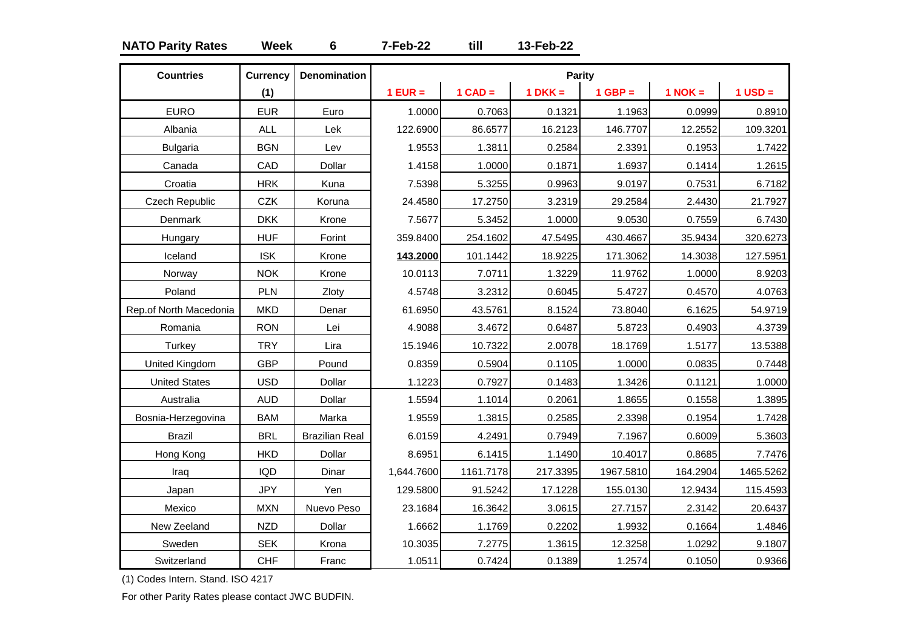# **NATO Parity Rates Week 6 7-Feb-22 till 13-Feb-22**

| <b>Countries</b>       | <b>Currency</b> | <b>Denomination</b>   |            |           | Parity    |           |             |             |
|------------------------|-----------------|-----------------------|------------|-----------|-----------|-----------|-------------|-------------|
|                        | (1)             |                       | $1$ EUR =  | $1$ CAD = | $1 DKK =$ | $1$ GBP = | $1$ NOK $=$ | $1$ USD $=$ |
| <b>EURO</b>            | <b>EUR</b>      | Euro                  | 1.0000     | 0.7063    | 0.1321    | 1.1963    | 0.0999      | 0.8910      |
| Albania                | <b>ALL</b>      | Lek                   | 122.6900   | 86.6577   | 16.2123   | 146.7707  | 12.2552     | 109.3201    |
| <b>Bulgaria</b>        | <b>BGN</b>      | Lev                   | 1.9553     | 1.3811    | 0.2584    | 2.3391    | 0.1953      | 1.7422      |
| Canada                 | CAD             | Dollar                | 1.4158     | 1.0000    | 0.1871    | 1.6937    | 0.1414      | 1.2615      |
| Croatia                | <b>HRK</b>      | Kuna                  | 7.5398     | 5.3255    | 0.9963    | 9.0197    | 0.7531      | 6.7182      |
| <b>Czech Republic</b>  | <b>CZK</b>      | Koruna                | 24.4580    | 17.2750   | 3.2319    | 29.2584   | 2.4430      | 21.7927     |
| Denmark                | <b>DKK</b>      | Krone                 | 7.5677     | 5.3452    | 1.0000    | 9.0530    | 0.7559      | 6.7430      |
| Hungary                | <b>HUF</b>      | Forint                | 359.8400   | 254.1602  | 47.5495   | 430.4667  | 35.9434     | 320.6273    |
| Iceland                | <b>ISK</b>      | Krone                 | 143.2000   | 101.1442  | 18.9225   | 171.3062  | 14.3038     | 127.5951    |
| Norway                 | <b>NOK</b>      | Krone                 | 10.0113    | 7.0711    | 1.3229    | 11.9762   | 1.0000      | 8.9203      |
| Poland                 | PLN             | Zloty                 | 4.5748     | 3.2312    | 0.6045    | 5.4727    | 0.4570      | 4.0763      |
| Rep.of North Macedonia | <b>MKD</b>      | Denar                 | 61.6950    | 43.5761   | 8.1524    | 73.8040   | 6.1625      | 54.9719     |
| Romania                | <b>RON</b>      | Lei                   | 4.9088     | 3.4672    | 0.6487    | 5.8723    | 0.4903      | 4.3739      |
| Turkey                 | <b>TRY</b>      | Lira                  | 15.1946    | 10.7322   | 2.0078    | 18.1769   | 1.5177      | 13.5388     |
| United Kingdom         | <b>GBP</b>      | Pound                 | 0.8359     | 0.5904    | 0.1105    | 1.0000    | 0.0835      | 0.7448      |
| <b>United States</b>   | <b>USD</b>      | Dollar                | 1.1223     | 0.7927    | 0.1483    | 1.3426    | 0.1121      | 1.0000      |
| Australia              | <b>AUD</b>      | Dollar                | 1.5594     | 1.1014    | 0.2061    | 1.8655    | 0.1558      | 1.3895      |
| Bosnia-Herzegovina     | <b>BAM</b>      | Marka                 | 1.9559     | 1.3815    | 0.2585    | 2.3398    | 0.1954      | 1.7428      |
| <b>Brazil</b>          | <b>BRL</b>      | <b>Brazilian Real</b> | 6.0159     | 4.2491    | 0.7949    | 7.1967    | 0.6009      | 5.3603      |
| Hong Kong              | <b>HKD</b>      | Dollar                | 8.6951     | 6.1415    | 1.1490    | 10.4017   | 0.8685      | 7.7476      |
| Iraq                   | <b>IQD</b>      | Dinar                 | 1,644.7600 | 1161.7178 | 217.3395  | 1967.5810 | 164.2904    | 1465.5262   |
| Japan                  | <b>JPY</b>      | Yen                   | 129.5800   | 91.5242   | 17.1228   | 155.0130  | 12.9434     | 115.4593    |
| Mexico                 | <b>MXN</b>      | Nuevo Peso            | 23.1684    | 16.3642   | 3.0615    | 27.7157   | 2.3142      | 20.6437     |
| New Zeeland            | <b>NZD</b>      | Dollar                | 1.6662     | 1.1769    | 0.2202    | 1.9932    | 0.1664      | 1.4846      |
| Sweden                 | <b>SEK</b>      | Krona                 | 10.3035    | 7.2775    | 1.3615    | 12.3258   | 1.0292      | 9.1807      |
| Switzerland            | <b>CHF</b>      | Franc                 | 1.0511     | 0.7424    | 0.1389    | 1.2574    | 0.1050      | 0.9366      |

(1) Codes Intern. Stand. ISO 4217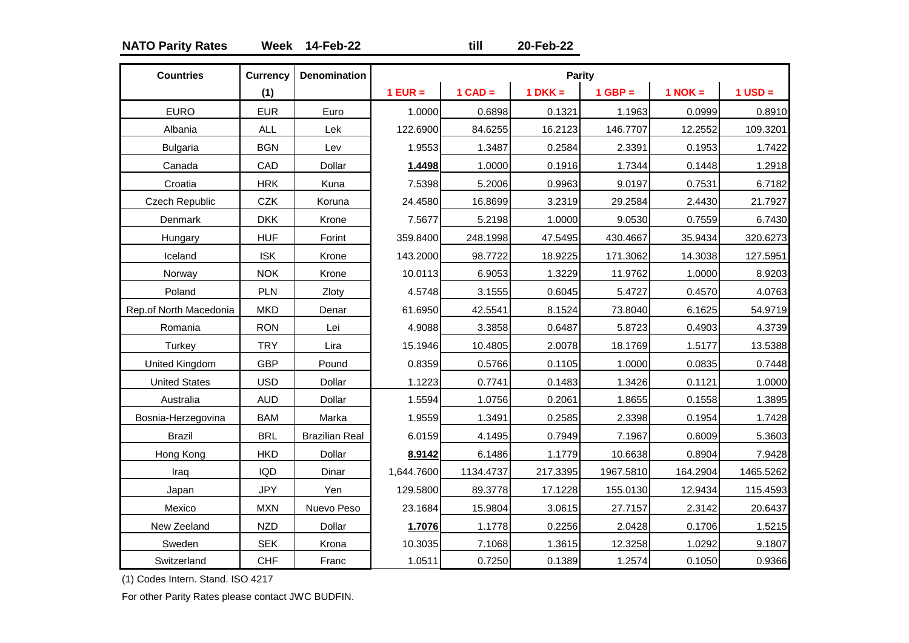# **NATO Parity Rates Week 14-Feb-22 till 20-Feb-22**

| <b>Countries</b>       | <b>Currency</b> | <b>Denomination</b>   |            |           | <b>Parity</b> |           |             |             |
|------------------------|-----------------|-----------------------|------------|-----------|---------------|-----------|-------------|-------------|
|                        | (1)             |                       | $1$ EUR =  | $1$ CAD = | $1 DKK =$     | $1$ GBP = | $1$ NOK $=$ | $1$ USD $=$ |
| <b>EURO</b>            | <b>EUR</b>      | Euro                  | 1.0000     | 0.6898    | 0.1321        | 1.1963    | 0.0999      | 0.8910      |
| Albania                | <b>ALL</b>      | Lek                   | 122.6900   | 84.6255   | 16.2123       | 146.7707  | 12.2552     | 109.3201    |
| <b>Bulgaria</b>        | <b>BGN</b>      | Lev                   | 1.9553     | 1.3487    | 0.2584        | 2.3391    | 0.1953      | 1.7422      |
| Canada                 | CAD             | Dollar                | 1.4498     | 1.0000    | 0.1916        | 1.7344    | 0.1448      | 1.2918      |
| Croatia                | <b>HRK</b>      | Kuna                  | 7.5398     | 5.2006    | 0.9963        | 9.0197    | 0.7531      | 6.7182      |
| Czech Republic         | <b>CZK</b>      | Koruna                | 24.4580    | 16.8699   | 3.2319        | 29.2584   | 2.4430      | 21.7927     |
| Denmark                | <b>DKK</b>      | Krone                 | 7.5677     | 5.2198    | 1.0000        | 9.0530    | 0.7559      | 6.7430      |
| Hungary                | <b>HUF</b>      | Forint                | 359.8400   | 248.1998  | 47.5495       | 430.4667  | 35.9434     | 320.6273    |
| Iceland                | <b>ISK</b>      | Krone                 | 143.2000   | 98.7722   | 18.9225       | 171.3062  | 14.3038     | 127.5951    |
| Norway                 | <b>NOK</b>      | Krone                 | 10.0113    | 6.9053    | 1.3229        | 11.9762   | 1.0000      | 8.9203      |
| Poland                 | PLN             | Zloty                 | 4.5748     | 3.1555    | 0.6045        | 5.4727    | 0.4570      | 4.0763      |
| Rep.of North Macedonia | <b>MKD</b>      | Denar                 | 61.6950    | 42.5541   | 8.1524        | 73.8040   | 6.1625      | 54.9719     |
| Romania                | <b>RON</b>      | Lei                   | 4.9088     | 3.3858    | 0.6487        | 5.8723    | 0.4903      | 4.3739      |
| Turkey                 | <b>TRY</b>      | Lira                  | 15.1946    | 10.4805   | 2.0078        | 18.1769   | 1.5177      | 13.5388     |
| United Kingdom         | <b>GBP</b>      | Pound                 | 0.8359     | 0.5766    | 0.1105        | 1.0000    | 0.0835      | 0.7448      |
| <b>United States</b>   | <b>USD</b>      | Dollar                | 1.1223     | 0.7741    | 0.1483        | 1.3426    | 0.1121      | 1.0000      |
| Australia              | <b>AUD</b>      | Dollar                | 1.5594     | 1.0756    | 0.2061        | 1.8655    | 0.1558      | 1.3895      |
| Bosnia-Herzegovina     | <b>BAM</b>      | Marka                 | 1.9559     | 1.3491    | 0.2585        | 2.3398    | 0.1954      | 1.7428      |
| <b>Brazil</b>          | <b>BRL</b>      | <b>Brazilian Real</b> | 6.0159     | 4.1495    | 0.7949        | 7.1967    | 0.6009      | 5.3603      |
| Hong Kong              | <b>HKD</b>      | Dollar                | 8.9142     | 6.1486    | 1.1779        | 10.6638   | 0.8904      | 7.9428      |
| Iraq                   | <b>IQD</b>      | Dinar                 | 1,644.7600 | 1134.4737 | 217.3395      | 1967.5810 | 164.2904    | 1465.5262   |
| Japan                  | <b>JPY</b>      | Yen                   | 129.5800   | 89.3778   | 17.1228       | 155.0130  | 12.9434     | 115.4593    |
| Mexico                 | <b>MXN</b>      | Nuevo Peso            | 23.1684    | 15.9804   | 3.0615        | 27.7157   | 2.3142      | 20.6437     |
| New Zeeland            | <b>NZD</b>      | Dollar                | 1.7076     | 1.1778    | 0.2256        | 2.0428    | 0.1706      | 1.5215      |
| Sweden                 | <b>SEK</b>      | Krona                 | 10.3035    | 7.1068    | 1.3615        | 12.3258   | 1.0292      | 9.1807      |
| Switzerland            | <b>CHF</b>      | Franc                 | 1.0511     | 0.7250    | 0.1389        | 1.2574    | 0.1050      | 0.9366      |

(1) Codes Intern. Stand. ISO 4217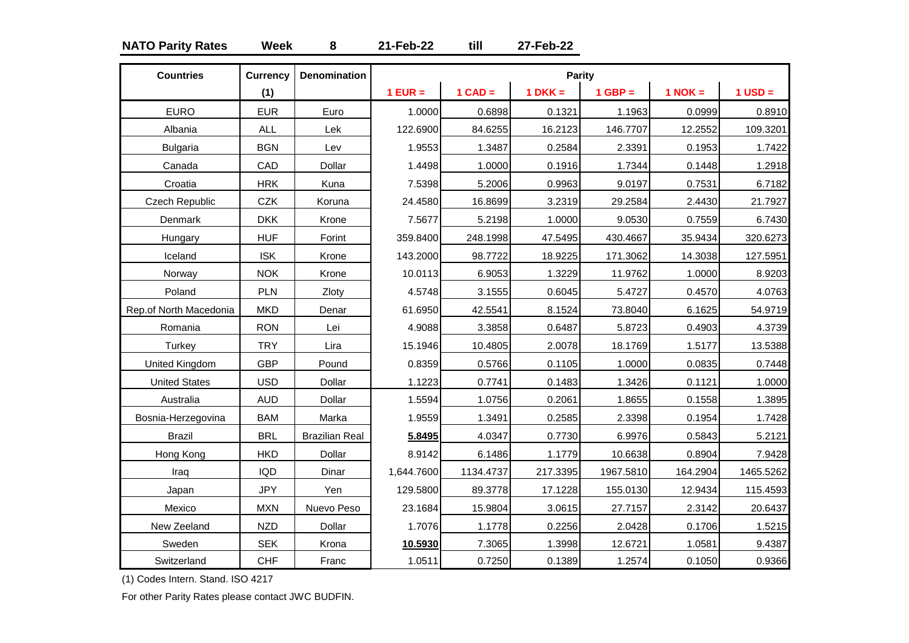# **NATO Parity Rates Week 8 21-Feb-22 till 27-Feb-22**

| <b>Countries</b>       | <b>Currency</b> | <b>Denomination</b>   |            |           | <b>Parity</b> |           |             |             |
|------------------------|-----------------|-----------------------|------------|-----------|---------------|-----------|-------------|-------------|
|                        | (1)             |                       | $1$ EUR =  | $1$ CAD = | $1 DKK =$     | $1$ GBP = | $1$ NOK $=$ | $1$ USD $=$ |
| <b>EURO</b>            | <b>EUR</b>      | Euro                  | 1.0000     | 0.6898    | 0.1321        | 1.1963    | 0.0999      | 0.8910      |
| Albania                | <b>ALL</b>      | Lek                   | 122.6900   | 84.6255   | 16.2123       | 146.7707  | 12.2552     | 109.3201    |
| <b>Bulgaria</b>        | <b>BGN</b>      | Lev                   | 1.9553     | 1.3487    | 0.2584        | 2.3391    | 0.1953      | 1.7422      |
| Canada                 | CAD             | Dollar                | 1.4498     | 1.0000    | 0.1916        | 1.7344    | 0.1448      | 1.2918      |
| Croatia                | <b>HRK</b>      | Kuna                  | 7.5398     | 5.2006    | 0.9963        | 9.0197    | 0.7531      | 6.7182      |
| <b>Czech Republic</b>  | <b>CZK</b>      | Koruna                | 24.4580    | 16.8699   | 3.2319        | 29.2584   | 2.4430      | 21.7927     |
| Denmark                | <b>DKK</b>      | Krone                 | 7.5677     | 5.2198    | 1.0000        | 9.0530    | 0.7559      | 6.7430      |
| Hungary                | <b>HUF</b>      | Forint                | 359.8400   | 248.1998  | 47.5495       | 430.4667  | 35.9434     | 320.6273    |
| Iceland                | <b>ISK</b>      | Krone                 | 143.2000   | 98.7722   | 18.9225       | 171.3062  | 14.3038     | 127.5951    |
| Norway                 | <b>NOK</b>      | Krone                 | 10.0113    | 6.9053    | 1.3229        | 11.9762   | 1.0000      | 8.9203      |
| Poland                 | PLN             | Zloty                 | 4.5748     | 3.1555    | 0.6045        | 5.4727    | 0.4570      | 4.0763      |
| Rep.of North Macedonia | <b>MKD</b>      | Denar                 | 61.6950    | 42.5541   | 8.1524        | 73.8040   | 6.1625      | 54.9719     |
| Romania                | <b>RON</b>      | Lei                   | 4.9088     | 3.3858    | 0.6487        | 5.8723    | 0.4903      | 4.3739      |
| Turkey                 | <b>TRY</b>      | Lira                  | 15.1946    | 10.4805   | 2.0078        | 18.1769   | 1.5177      | 13.5388     |
| United Kingdom         | <b>GBP</b>      | Pound                 | 0.8359     | 0.5766    | 0.1105        | 1.0000    | 0.0835      | 0.7448      |
| <b>United States</b>   | <b>USD</b>      | Dollar                | 1.1223     | 0.7741    | 0.1483        | 1.3426    | 0.1121      | 1.0000      |
| Australia              | <b>AUD</b>      | Dollar                | 1.5594     | 1.0756    | 0.2061        | 1.8655    | 0.1558      | 1.3895      |
| Bosnia-Herzegovina     | <b>BAM</b>      | Marka                 | 1.9559     | 1.3491    | 0.2585        | 2.3398    | 0.1954      | 1.7428      |
| <b>Brazil</b>          | <b>BRL</b>      | <b>Brazilian Real</b> | 5.8495     | 4.0347    | 0.7730        | 6.9976    | 0.5843      | 5.2121      |
| Hong Kong              | <b>HKD</b>      | Dollar                | 8.9142     | 6.1486    | 1.1779        | 10.6638   | 0.8904      | 7.9428      |
| Iraq                   | <b>IQD</b>      | Dinar                 | 1,644.7600 | 1134.4737 | 217.3395      | 1967.5810 | 164.2904    | 1465.5262   |
| Japan                  | <b>JPY</b>      | Yen                   | 129.5800   | 89.3778   | 17.1228       | 155.0130  | 12.9434     | 115.4593    |
| Mexico                 | <b>MXN</b>      | Nuevo Peso            | 23.1684    | 15.9804   | 3.0615        | 27.7157   | 2.3142      | 20.6437     |
| New Zeeland            | <b>NZD</b>      | Dollar                | 1.7076     | 1.1778    | 0.2256        | 2.0428    | 0.1706      | 1.5215      |
| Sweden                 | <b>SEK</b>      | Krona                 | 10.5930    | 7.3065    | 1.3998        | 12.6721   | 1.0581      | 9.4387      |
| Switzerland            | <b>CHF</b>      | Franc                 | 1.0511     | 0.7250    | 0.1389        | 1.2574    | 0.1050      | 0.9366      |

(1) Codes Intern. Stand. ISO 4217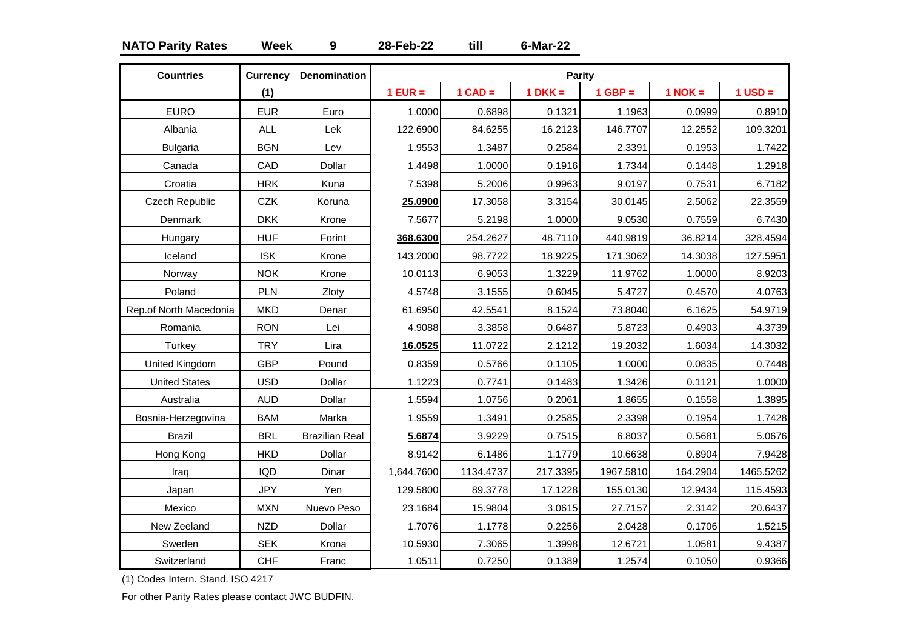# **NATO Parity Rates Week 9 28-Feb-22 till 6-Mar-22**

| <b>Countries</b>       | <b>Currency</b> | <b>Denomination</b>   |            |           | <b>Parity</b> |           |             |             |
|------------------------|-----------------|-----------------------|------------|-----------|---------------|-----------|-------------|-------------|
|                        | (1)             |                       | $1$ EUR =  | $1$ CAD = | $1$ DKK =     | $1$ GBP = | $1$ NOK $=$ | $1$ USD $=$ |
| <b>EURO</b>            | <b>EUR</b>      | Euro                  | 1.0000     | 0.6898    | 0.1321        | 1.1963    | 0.0999      | 0.8910      |
| Albania                | <b>ALL</b>      | Lek                   | 122.6900   | 84.6255   | 16.2123       | 146.7707  | 12.2552     | 109.3201    |
| <b>Bulgaria</b>        | <b>BGN</b>      | Lev                   | 1.9553     | 1.3487    | 0.2584        | 2.3391    | 0.1953      | 1.7422      |
| Canada                 | CAD             | Dollar                | 1.4498     | 1.0000    | 0.1916        | 1.7344    | 0.1448      | 1.2918      |
| Croatia                | <b>HRK</b>      | Kuna                  | 7.5398     | 5.2006    | 0.9963        | 9.0197    | 0.7531      | 6.7182      |
| <b>Czech Republic</b>  | <b>CZK</b>      | Koruna                | 25.0900    | 17.3058   | 3.3154        | 30.0145   | 2.5062      | 22.3559     |
| Denmark                | <b>DKK</b>      | Krone                 | 7.5677     | 5.2198    | 1.0000        | 9.0530    | 0.7559      | 6.7430      |
| Hungary                | <b>HUF</b>      | Forint                | 368.6300   | 254.2627  | 48.7110       | 440.9819  | 36.8214     | 328.4594    |
| Iceland                | <b>ISK</b>      | Krone                 | 143.2000   | 98.7722   | 18.9225       | 171.3062  | 14.3038     | 127.5951    |
| Norway                 | <b>NOK</b>      | Krone                 | 10.0113    | 6.9053    | 1.3229        | 11.9762   | 1.0000      | 8.9203      |
| Poland                 | PLN             | Zloty                 | 4.5748     | 3.1555    | 0.6045        | 5.4727    | 0.4570      | 4.0763      |
| Rep.of North Macedonia | <b>MKD</b>      | Denar                 | 61.6950    | 42.5541   | 8.1524        | 73.8040   | 6.1625      | 54.9719     |
| Romania                | <b>RON</b>      | Lei                   | 4.9088     | 3.3858    | 0.6487        | 5.8723    | 0.4903      | 4.3739      |
| Turkey                 | <b>TRY</b>      | Lira                  | 16.0525    | 11.0722   | 2.1212        | 19.2032   | 1.6034      | 14.3032     |
| United Kingdom         | <b>GBP</b>      | Pound                 | 0.8359     | 0.5766    | 0.1105        | 1.0000    | 0.0835      | 0.7448      |
| <b>United States</b>   | <b>USD</b>      | Dollar                | 1.1223     | 0.7741    | 0.1483        | 1.3426    | 0.1121      | 1.0000      |
| Australia              | <b>AUD</b>      | Dollar                | 1.5594     | 1.0756    | 0.2061        | 1.8655    | 0.1558      | 1.3895      |
| Bosnia-Herzegovina     | <b>BAM</b>      | Marka                 | 1.9559     | 1.3491    | 0.2585        | 2.3398    | 0.1954      | 1.7428      |
| <b>Brazil</b>          | <b>BRL</b>      | <b>Brazilian Real</b> | 5.6874     | 3.9229    | 0.7515        | 6.8037    | 0.5681      | 5.0676      |
| Hong Kong              | <b>HKD</b>      | Dollar                | 8.9142     | 6.1486    | 1.1779        | 10.6638   | 0.8904      | 7.9428      |
| Iraq                   | <b>IQD</b>      | Dinar                 | 1,644.7600 | 1134.4737 | 217.3395      | 1967.5810 | 164.2904    | 1465.5262   |
| Japan                  | <b>JPY</b>      | Yen                   | 129.5800   | 89.3778   | 17.1228       | 155.0130  | 12.9434     | 115.4593    |
| Mexico                 | <b>MXN</b>      | Nuevo Peso            | 23.1684    | 15.9804   | 3.0615        | 27.7157   | 2.3142      | 20.6437     |
| New Zeeland            | <b>NZD</b>      | Dollar                | 1.7076     | 1.1778    | 0.2256        | 2.0428    | 0.1706      | 1.5215      |
| Sweden                 | <b>SEK</b>      | Krona                 | 10.5930    | 7.3065    | 1.3998        | 12.6721   | 1.0581      | 9.4387      |
| Switzerland            | <b>CHF</b>      | Franc                 | 1.0511     | 0.7250    | 0.1389        | 1.2574    | 0.1050      | 0.9366      |

(1) Codes Intern. Stand. ISO 4217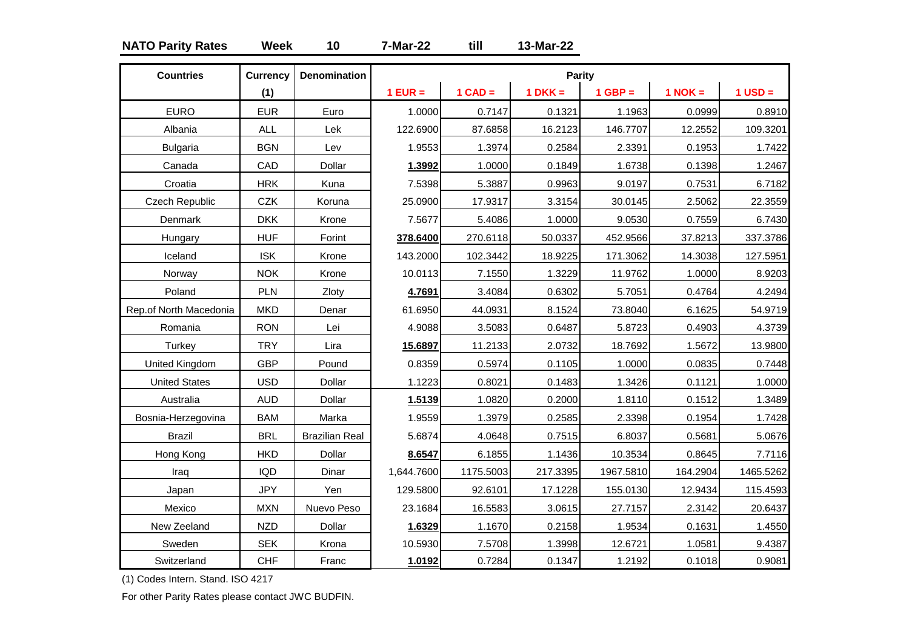# **NATO Parity Rates Week 10 7-Mar-22 till 13-Mar-22**

| <b>Countries</b>       | <b>Currency</b> | <b>Denomination</b>   |            |           | Parity    |           |             |             |
|------------------------|-----------------|-----------------------|------------|-----------|-----------|-----------|-------------|-------------|
|                        | (1)             |                       | $1$ EUR =  | $1$ CAD = | $1 DKK =$ | $1$ GBP = | $1$ NOK $=$ | $1$ USD $=$ |
| <b>EURO</b>            | <b>EUR</b>      | Euro                  | 1.0000     | 0.7147    | 0.1321    | 1.1963    | 0.0999      | 0.8910      |
| Albania                | <b>ALL</b>      | Lek                   | 122.6900   | 87.6858   | 16.2123   | 146.7707  | 12.2552     | 109.3201    |
| <b>Bulgaria</b>        | <b>BGN</b>      | Lev                   | 1.9553     | 1.3974    | 0.2584    | 2.3391    | 0.1953      | 1.7422      |
| Canada                 | CAD             | Dollar                | 1.3992     | 1.0000    | 0.1849    | 1.6738    | 0.1398      | 1.2467      |
| Croatia                | <b>HRK</b>      | Kuna                  | 7.5398     | 5.3887    | 0.9963    | 9.0197    | 0.7531      | 6.7182      |
| Czech Republic         | CZK             | Koruna                | 25.0900    | 17.9317   | 3.3154    | 30.0145   | 2.5062      | 22.3559     |
| Denmark                | <b>DKK</b>      | Krone                 | 7.5677     | 5.4086    | 1.0000    | 9.0530    | 0.7559      | 6.7430      |
| Hungary                | <b>HUF</b>      | Forint                | 378.6400   | 270.6118  | 50.0337   | 452.9566  | 37.8213     | 337.3786    |
| Iceland                | <b>ISK</b>      | Krone                 | 143.2000   | 102.3442  | 18.9225   | 171.3062  | 14.3038     | 127.5951    |
| Norway                 | <b>NOK</b>      | Krone                 | 10.0113    | 7.1550    | 1.3229    | 11.9762   | 1.0000      | 8.9203      |
| Poland                 | PLN             | Zloty                 | 4.7691     | 3.4084    | 0.6302    | 5.7051    | 0.4764      | 4.2494      |
| Rep.of North Macedonia | <b>MKD</b>      | Denar                 | 61.6950    | 44.0931   | 8.1524    | 73.8040   | 6.1625      | 54.9719     |
| Romania                | <b>RON</b>      | Lei                   | 4.9088     | 3.5083    | 0.6487    | 5.8723    | 0.4903      | 4.3739      |
| Turkey                 | <b>TRY</b>      | Lira                  | 15.6897    | 11.2133   | 2.0732    | 18.7692   | 1.5672      | 13.9800     |
| United Kingdom         | <b>GBP</b>      | Pound                 | 0.8359     | 0.5974    | 0.1105    | 1.0000    | 0.0835      | 0.7448      |
| <b>United States</b>   | <b>USD</b>      | Dollar                | 1.1223     | 0.8021    | 0.1483    | 1.3426    | 0.1121      | 1.0000      |
| Australia              | <b>AUD</b>      | Dollar                | 1.5139     | 1.0820    | 0.2000    | 1.8110    | 0.1512      | 1.3489      |
| Bosnia-Herzegovina     | <b>BAM</b>      | Marka                 | 1.9559     | 1.3979    | 0.2585    | 2.3398    | 0.1954      | 1.7428      |
| <b>Brazil</b>          | <b>BRL</b>      | <b>Brazilian Real</b> | 5.6874     | 4.0648    | 0.7515    | 6.8037    | 0.5681      | 5.0676      |
| Hong Kong              | <b>HKD</b>      | Dollar                | 8.6547     | 6.1855    | 1.1436    | 10.3534   | 0.8645      | 7.7116      |
| Iraq                   | <b>IQD</b>      | Dinar                 | 1,644.7600 | 1175.5003 | 217.3395  | 1967.5810 | 164.2904    | 1465.5262   |
| Japan                  | <b>JPY</b>      | Yen                   | 129.5800   | 92.6101   | 17.1228   | 155.0130  | 12.9434     | 115.4593    |
| Mexico                 | <b>MXN</b>      | Nuevo Peso            | 23.1684    | 16.5583   | 3.0615    | 27.7157   | 2.3142      | 20.6437     |
| New Zeeland            | <b>NZD</b>      | Dollar                | 1.6329     | 1.1670    | 0.2158    | 1.9534    | 0.1631      | 1.4550      |
| Sweden                 | <b>SEK</b>      | Krona                 | 10.5930    | 7.5708    | 1.3998    | 12.6721   | 1.0581      | 9.4387      |
| Switzerland            | <b>CHF</b>      | Franc                 | 1.0192     | 0.7284    | 0.1347    | 1.2192    | 0.1018      | 0.9081      |

(1) Codes Intern. Stand. ISO 4217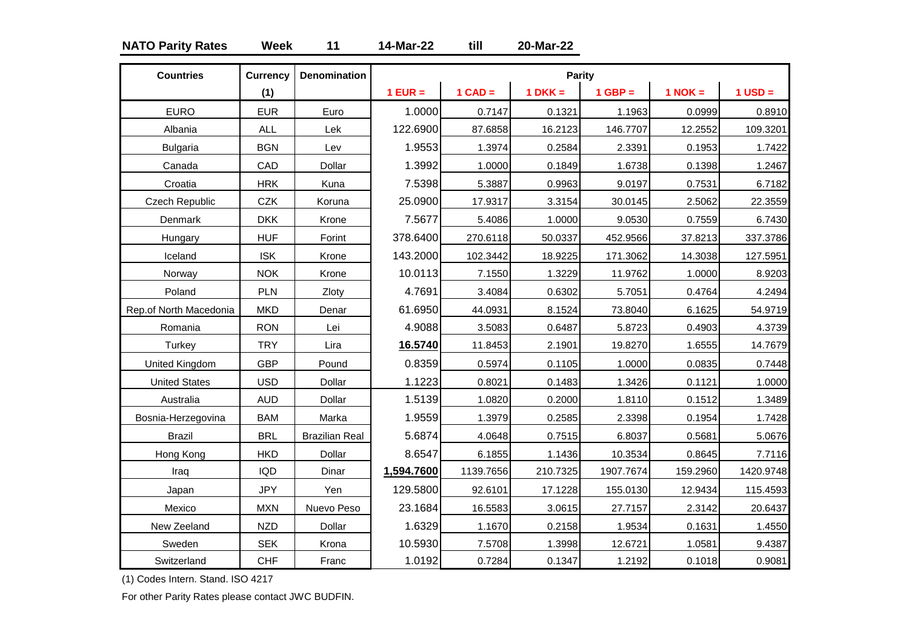# **NATO Parity Rates Week 11 14-Mar-22 till 20-Mar-22**

| <b>Countries</b>       | <b>Currency</b> | <b>Denomination</b>   |            |           | <b>Parity</b> |           |             |             |
|------------------------|-----------------|-----------------------|------------|-----------|---------------|-----------|-------------|-------------|
|                        | (1)             |                       | $1$ EUR =  | $1$ CAD = | $1 DKK =$     | $1$ GBP = | $1$ NOK $=$ | $1$ USD $=$ |
| <b>EURO</b>            | <b>EUR</b>      | Euro                  | 1.0000     | 0.7147    | 0.1321        | 1.1963    | 0.0999      | 0.8910      |
| Albania                | <b>ALL</b>      | Lek                   | 122.6900   | 87.6858   | 16.2123       | 146.7707  | 12.2552     | 109.3201    |
| <b>Bulgaria</b>        | <b>BGN</b>      | Lev                   | 1.9553     | 1.3974    | 0.2584        | 2.3391    | 0.1953      | 1.7422      |
| Canada                 | CAD             | Dollar                | 1.3992     | 1.0000    | 0.1849        | 1.6738    | 0.1398      | 1.2467      |
| Croatia                | <b>HRK</b>      | Kuna                  | 7.5398     | 5.3887    | 0.9963        | 9.0197    | 0.7531      | 6.7182      |
| Czech Republic         | <b>CZK</b>      | Koruna                | 25.0900    | 17.9317   | 3.3154        | 30.0145   | 2.5062      | 22.3559     |
| Denmark                | <b>DKK</b>      | Krone                 | 7.5677     | 5.4086    | 1.0000        | 9.0530    | 0.7559      | 6.7430      |
| Hungary                | <b>HUF</b>      | Forint                | 378.6400   | 270.6118  | 50.0337       | 452.9566  | 37.8213     | 337.3786    |
| Iceland                | <b>ISK</b>      | Krone                 | 143.2000   | 102.3442  | 18.9225       | 171.3062  | 14.3038     | 127.5951    |
| Norway                 | <b>NOK</b>      | Krone                 | 10.0113    | 7.1550    | 1.3229        | 11.9762   | 1.0000      | 8.9203      |
| Poland                 | PLN             | Zloty                 | 4.7691     | 3.4084    | 0.6302        | 5.7051    | 0.4764      | 4.2494      |
| Rep.of North Macedonia | <b>MKD</b>      | Denar                 | 61.6950    | 44.0931   | 8.1524        | 73.8040   | 6.1625      | 54.9719     |
| Romania                | <b>RON</b>      | Lei                   | 4.9088     | 3.5083    | 0.6487        | 5.8723    | 0.4903      | 4.3739      |
| Turkey                 | <b>TRY</b>      | Lira                  | 16.5740    | 11.8453   | 2.1901        | 19.8270   | 1.6555      | 14.7679     |
| United Kingdom         | <b>GBP</b>      | Pound                 | 0.8359     | 0.5974    | 0.1105        | 1.0000    | 0.0835      | 0.7448      |
| <b>United States</b>   | <b>USD</b>      | Dollar                | 1.1223     | 0.8021    | 0.1483        | 1.3426    | 0.1121      | 1.0000      |
| Australia              | <b>AUD</b>      | Dollar                | 1.5139     | 1.0820    | 0.2000        | 1.8110    | 0.1512      | 1.3489      |
| Bosnia-Herzegovina     | <b>BAM</b>      | Marka                 | 1.9559     | 1.3979    | 0.2585        | 2.3398    | 0.1954      | 1.7428      |
| <b>Brazil</b>          | <b>BRL</b>      | <b>Brazilian Real</b> | 5.6874     | 4.0648    | 0.7515        | 6.8037    | 0.5681      | 5.0676      |
| Hong Kong              | <b>HKD</b>      | Dollar                | 8.6547     | 6.1855    | 1.1436        | 10.3534   | 0.8645      | 7.7116      |
| Iraq                   | <b>IQD</b>      | Dinar                 | 1,594.7600 | 1139.7656 | 210.7325      | 1907.7674 | 159.2960    | 1420.9748   |
| Japan                  | <b>JPY</b>      | Yen                   | 129.5800   | 92.6101   | 17.1228       | 155.0130  | 12.9434     | 115.4593    |
| Mexico                 | <b>MXN</b>      | Nuevo Peso            | 23.1684    | 16.5583   | 3.0615        | 27.7157   | 2.3142      | 20.6437     |
| New Zeeland            | <b>NZD</b>      | Dollar                | 1.6329     | 1.1670    | 0.2158        | 1.9534    | 0.1631      | 1.4550      |
| Sweden                 | <b>SEK</b>      | Krona                 | 10.5930    | 7.5708    | 1.3998        | 12.6721   | 1.0581      | 9.4387      |
| Switzerland            | <b>CHF</b>      | Franc                 | 1.0192     | 0.7284    | 0.1347        | 1.2192    | 0.1018      | 0.9081      |

(1) Codes Intern. Stand. ISO 4217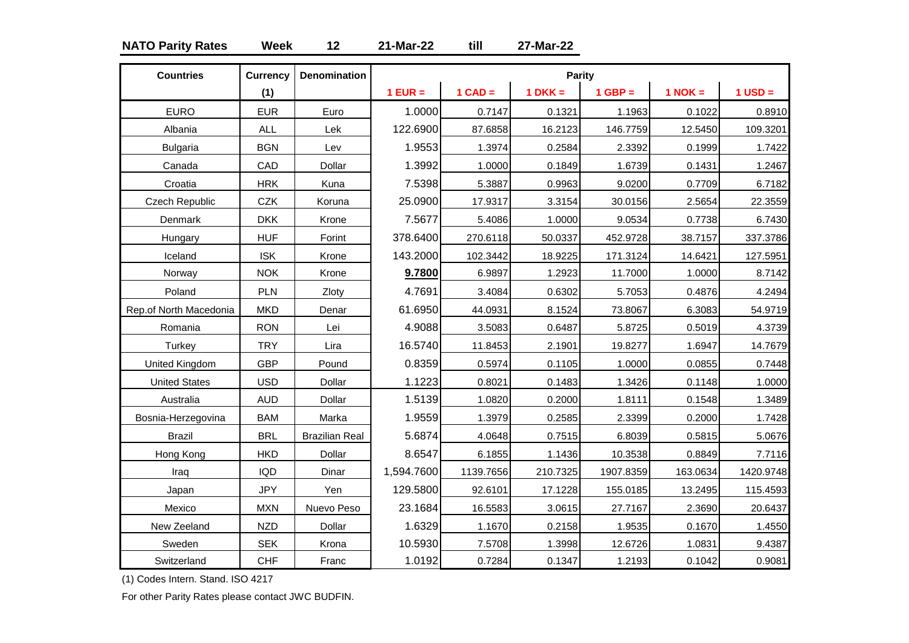# **NATO Parity Rates Week 12 21-Mar-22 till 27-Mar-22**

| <b>Countries</b>       | <b>Currency</b> | <b>Denomination</b>   |            |           | Parity    |           |             |             |
|------------------------|-----------------|-----------------------|------------|-----------|-----------|-----------|-------------|-------------|
|                        | (1)             |                       | $1$ EUR =  | $1$ CAD = | $1$ DKK = | $1$ GBP = | $1$ NOK $=$ | $1$ USD $=$ |
| <b>EURO</b>            | <b>EUR</b>      | Euro                  | 1.0000     | 0.7147    | 0.1321    | 1.1963    | 0.1022      | 0.8910      |
| Albania                | <b>ALL</b>      | Lek                   | 122.6900   | 87.6858   | 16.2123   | 146.7759  | 12.5450     | 109.3201    |
| <b>Bulgaria</b>        | <b>BGN</b>      | Lev                   | 1.9553     | 1.3974    | 0.2584    | 2.3392    | 0.1999      | 1.7422      |
| Canada                 | CAD             | Dollar                | 1.3992     | 1.0000    | 0.1849    | 1.6739    | 0.1431      | 1.2467      |
| Croatia                | <b>HRK</b>      | Kuna                  | 7.5398     | 5.3887    | 0.9963    | 9.0200    | 0.7709      | 6.7182      |
| <b>Czech Republic</b>  | CZK             | Koruna                | 25.0900    | 17.9317   | 3.3154    | 30.0156   | 2.5654      | 22.3559     |
| Denmark                | <b>DKK</b>      | Krone                 | 7.5677     | 5.4086    | 1.0000    | 9.0534    | 0.7738      | 6.7430      |
| Hungary                | <b>HUF</b>      | Forint                | 378.6400   | 270.6118  | 50.0337   | 452.9728  | 38.7157     | 337.3786    |
| Iceland                | <b>ISK</b>      | Krone                 | 143.2000   | 102.3442  | 18.9225   | 171.3124  | 14.6421     | 127.5951    |
| Norway                 | <b>NOK</b>      | Krone                 | 9.7800     | 6.9897    | 1.2923    | 11.7000   | 1.0000      | 8.7142      |
| Poland                 | PLN             | Zloty                 | 4.7691     | 3.4084    | 0.6302    | 5.7053    | 0.4876      | 4.2494      |
| Rep.of North Macedonia | <b>MKD</b>      | Denar                 | 61.6950    | 44.0931   | 8.1524    | 73.8067   | 6.3083      | 54.9719     |
| Romania                | <b>RON</b>      | Lei                   | 4.9088     | 3.5083    | 0.6487    | 5.8725    | 0.5019      | 4.3739      |
| Turkey                 | <b>TRY</b>      | Lira                  | 16.5740    | 11.8453   | 2.1901    | 19.8277   | 1.6947      | 14.7679     |
| United Kingdom         | <b>GBP</b>      | Pound                 | 0.8359     | 0.5974    | 0.1105    | 1.0000    | 0.0855      | 0.7448      |
| <b>United States</b>   | <b>USD</b>      | Dollar                | 1.1223     | 0.8021    | 0.1483    | 1.3426    | 0.1148      | 1.0000      |
| Australia              | <b>AUD</b>      | Dollar                | 1.5139     | 1.0820    | 0.2000    | 1.8111    | 0.1548      | 1.3489      |
| Bosnia-Herzegovina     | <b>BAM</b>      | Marka                 | 1.9559     | 1.3979    | 0.2585    | 2.3399    | 0.2000      | 1.7428      |
| <b>Brazil</b>          | <b>BRL</b>      | <b>Brazilian Real</b> | 5.6874     | 4.0648    | 0.7515    | 6.8039    | 0.5815      | 5.0676      |
| Hong Kong              | <b>HKD</b>      | Dollar                | 8.6547     | 6.1855    | 1.1436    | 10.3538   | 0.8849      | 7.7116      |
| Iraq                   | <b>IQD</b>      | Dinar                 | 1,594.7600 | 1139.7656 | 210.7325  | 1907.8359 | 163.0634    | 1420.9748   |
| Japan                  | <b>JPY</b>      | Yen                   | 129.5800   | 92.6101   | 17.1228   | 155.0185  | 13.2495     | 115.4593    |
| Mexico                 | <b>MXN</b>      | Nuevo Peso            | 23.1684    | 16.5583   | 3.0615    | 27.7167   | 2.3690      | 20.6437     |
| New Zeeland            | <b>NZD</b>      | Dollar                | 1.6329     | 1.1670    | 0.2158    | 1.9535    | 0.1670      | 1.4550      |
| Sweden                 | <b>SEK</b>      | Krona                 | 10.5930    | 7.5708    | 1.3998    | 12.6726   | 1.0831      | 9.4387      |
| Switzerland            | <b>CHF</b>      | Franc                 | 1.0192     | 0.7284    | 0.1347    | 1.2193    | 0.1042      | 0.9081      |

(1) Codes Intern. Stand. ISO 4217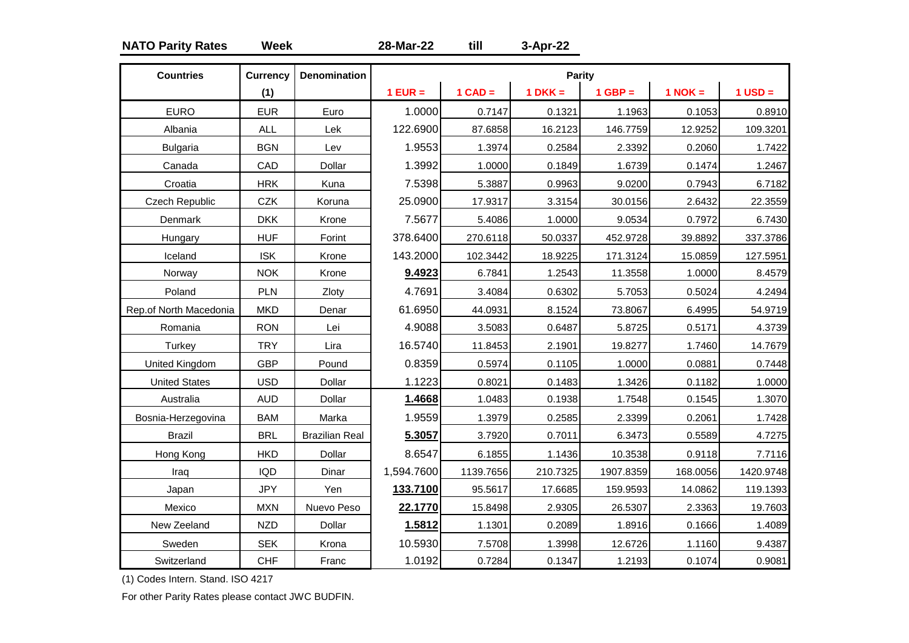# **NATO Parity Rates Week 28-Mar-22 till 3-Apr-22**

| <b>Countries</b>       | <b>Currency</b> | <b>Denomination</b>   |            |           | <b>Parity</b> |           |           |           |
|------------------------|-----------------|-----------------------|------------|-----------|---------------|-----------|-----------|-----------|
|                        | (1)             |                       | $1$ EUR =  | $1$ CAD = | $1$ DKK =     | $1$ GBP = | $1$ NOK = | $1$ USD = |
| <b>EURO</b>            | <b>EUR</b>      | Euro                  | 1.0000     | 0.7147    | 0.1321        | 1.1963    | 0.1053    | 0.8910    |
| Albania                | <b>ALL</b>      | Lek                   | 122.6900   | 87.6858   | 16.2123       | 146.7759  | 12.9252   | 109.3201  |
| <b>Bulgaria</b>        | <b>BGN</b>      | Lev                   | 1.9553     | 1.3974    | 0.2584        | 2.3392    | 0.2060    | 1.7422    |
| Canada                 | CAD             | Dollar                | 1.3992     | 1.0000    | 0.1849        | 1.6739    | 0.1474    | 1.2467    |
| Croatia                | <b>HRK</b>      | Kuna                  | 7.5398     | 5.3887    | 0.9963        | 9.0200    | 0.7943    | 6.7182    |
| Czech Republic         | CZK             | Koruna                | 25.0900    | 17.9317   | 3.3154        | 30.0156   | 2.6432    | 22.3559   |
| Denmark                | <b>DKK</b>      | Krone                 | 7.5677     | 5.4086    | 1.0000        | 9.0534    | 0.7972    | 6.7430    |
| Hungary                | <b>HUF</b>      | Forint                | 378.6400   | 270.6118  | 50.0337       | 452.9728  | 39.8892   | 337.3786  |
| Iceland                | <b>ISK</b>      | Krone                 | 143.2000   | 102.3442  | 18.9225       | 171.3124  | 15.0859   | 127.5951  |
| Norway                 | <b>NOK</b>      | Krone                 | 9.4923     | 6.7841    | 1.2543        | 11.3558   | 1.0000    | 8.4579    |
| Poland                 | <b>PLN</b>      | Zloty                 | 4.7691     | 3.4084    | 0.6302        | 5.7053    | 0.5024    | 4.2494    |
| Rep.of North Macedonia | <b>MKD</b>      | Denar                 | 61.6950    | 44.0931   | 8.1524        | 73.8067   | 6.4995    | 54.9719   |
| Romania                | <b>RON</b>      | Lei                   | 4.9088     | 3.5083    | 0.6487        | 5.8725    | 0.5171    | 4.3739    |
| Turkey                 | <b>TRY</b>      | Lira                  | 16.5740    | 11.8453   | 2.1901        | 19.8277   | 1.7460    | 14.7679   |
| United Kingdom         | <b>GBP</b>      | Pound                 | 0.8359     | 0.5974    | 0.1105        | 1.0000    | 0.0881    | 0.7448    |
| <b>United States</b>   | <b>USD</b>      | Dollar                | 1.1223     | 0.8021    | 0.1483        | 1.3426    | 0.1182    | 1.0000    |
| Australia              | <b>AUD</b>      | Dollar                | 1.4668     | 1.0483    | 0.1938        | 1.7548    | 0.1545    | 1.3070    |
| Bosnia-Herzegovina     | <b>BAM</b>      | Marka                 | 1.9559     | 1.3979    | 0.2585        | 2.3399    | 0.2061    | 1.7428    |
| <b>Brazil</b>          | <b>BRL</b>      | <b>Brazilian Real</b> | 5.3057     | 3.7920    | 0.7011        | 6.3473    | 0.5589    | 4.7275    |
| Hong Kong              | <b>HKD</b>      | Dollar                | 8.6547     | 6.1855    | 1.1436        | 10.3538   | 0.9118    | 7.7116    |
| Iraq                   | <b>IQD</b>      | Dinar                 | 1,594.7600 | 1139.7656 | 210.7325      | 1907.8359 | 168.0056  | 1420.9748 |
| Japan                  | <b>JPY</b>      | Yen                   | 133.7100   | 95.5617   | 17.6685       | 159.9593  | 14.0862   | 119.1393  |
| Mexico                 | <b>MXN</b>      | Nuevo Peso            | 22.1770    | 15.8498   | 2.9305        | 26.5307   | 2.3363    | 19.7603   |
| New Zeeland            | <b>NZD</b>      | Dollar                | 1.5812     | 1.1301    | 0.2089        | 1.8916    | 0.1666    | 1.4089    |
| Sweden                 | <b>SEK</b>      | Krona                 | 10.5930    | 7.5708    | 1.3998        | 12.6726   | 1.1160    | 9.4387    |
| Switzerland            | <b>CHF</b>      | Franc                 | 1.0192     | 0.7284    | 0.1347        | 1.2193    | 0.1074    | 0.9081    |

(1) Codes Intern. Stand. ISO 4217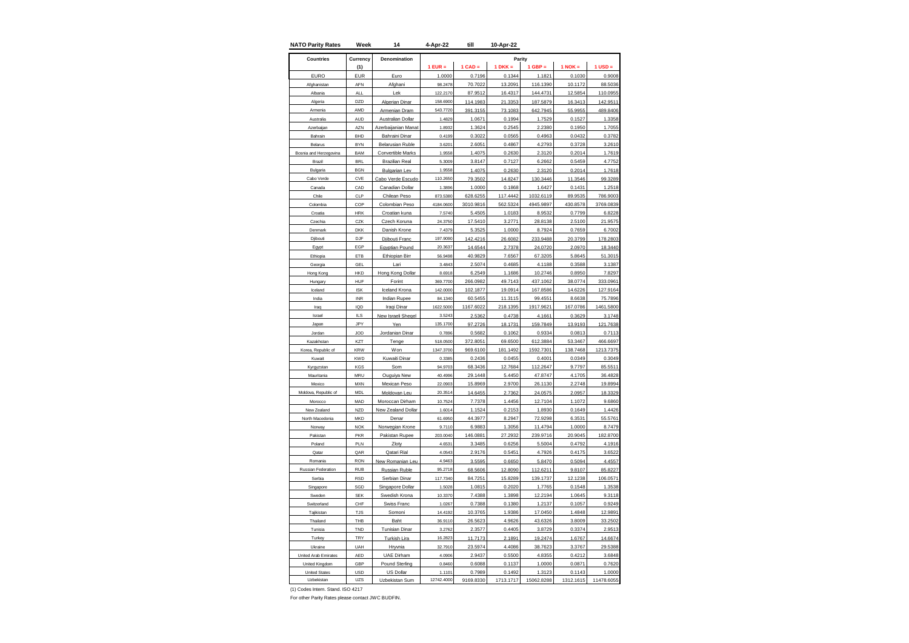| <b>NATO Parity Rates</b>  | Week                     | 14                                | 4-Apr-22          | till              | 10-Apr-22        |                   |                  |                   |
|---------------------------|--------------------------|-----------------------------------|-------------------|-------------------|------------------|-------------------|------------------|-------------------|
| <b>Countries</b>          | Currency                 | Denomination                      |                   |                   | Parity           |                   |                  |                   |
|                           | (1)                      |                                   | $1$ EUR =         | $1$ CAD =         | $1 DKK =$        | $1$ GBP =         | $1$ NOK $=$      | $1$ USD $=$       |
| <b>EURO</b>               | <b>EUR</b>               | Euro                              | 1.0000            | 0.7196            | 0.1344           | 1.1821            | 0.1030           | 0.9008            |
| Afghanistar               | AFN                      | Afghani                           | 98.2478           | 70.7022           | 13.2091          | 116.1390          | 10.1172          | 88.5036           |
| Albania                   | <b>ALL</b>               | Lek                               | 122.2170          | 87.9512           | 16.4317          | 144.4731          | 12.5854          | 110.0955          |
| Algeria                   | D <sub>7D</sub>          | Algerian Dinar                    | 158,6900          | 114.1983          | 21.3353          | 187.5879          | 16.3413          | 142.9511          |
| Armenia                   | AMD                      | Armenian Dram                     | 543.7720          | 391.3155          | 73.1083          | 642.7945          | 55.9955          | 489.8406          |
| Australia                 | AUD                      | Australian Dollar                 | 1.4829            | 1.0671            | 0.1994           | 1.7529            | 0.1527           | 1.3358            |
| Azerbaijan                | A7N                      | zerbaijanian Manat                | 1.8932            | 1.3624            | 0.2545           | 2.2380            | 0.1950           | 1.7055            |
| Bahrain                   | BHD                      | <b>Bahraini Dinar</b>             | 0.4199            | 0.3022            | 0.0565           | 0.4963            | 0.0432           | 0.3782            |
| Belarus                   | <b>BYN</b>               | <b>Belarusian Ruble</b>           | 3.6201            | 2.6051            | 0.4867           | 4.2793            | 0.3728           | 3.2610            |
| Bosnia and Herzegovina    | <b>BAM</b>               | Convertible Marks                 | 1.9558            | 1.4075            | 0.2630           | 2.3120            | 0.2014           | 1.7619            |
| Brazil                    | <b>BRL</b>               | <b>Brazilian Real</b>             | 5.3009            | 3.8147            | 0.7127           | 6.2662            | 0.5459           | 4.7752            |
| Bulgaria                  | <b>BGN</b>               | <b>Bulgarian Lev</b>              | 1.9558            | 1.4075            | 0.2630           | 2.3120            | 0.2014           | 1.7618            |
| Cabo Verde                | CVE                      | Cabo Verde Escudo                 | 110.2650          | 79.3502           | 14.8247          | 130.3446          | 11.3546          | 99.3289           |
| Canada                    | CAD                      | Canadian Dollar                   | 1.3896            | 1.0000            | 0.1868           | 1.6427            | 0.1431           | 1.2518            |
| Chile                     | CLP                      | Chilean Peso                      | 873.5380          | 628.6255          | 117.4442         | 1032.6119         | 89.9535          | 786.9003          |
| Colombia                  | COP                      | Colombian Peso                    | 4184.0600         | 3010.9816         | 562.5324         | 4945.9897         | 430.8578         | 3769.0839         |
| Croatia                   | <b>HRK</b>               | Croatian kuna                     | 7.5740            | 5.4505            | 1.0183           | 8.9532            | 0.7799           | 6.8228            |
| Czechia                   | CZK                      | Czech Koruna                      | 24.3750           | 17.5410           | 3.2771           | 28.8138           | 2.5100           | 21.9575           |
| Denmark                   | <b>DKK</b>               | Danish Krone                      | 7.4379            | 5.3525            | 1.0000           | 8.7924            | 0.7659           | 6.7002            |
| Djibouti                  | DJF                      | Djibouti Franc                    | 197.9090          | 142.4216          | 26.6082          | 233.9488          | 20.3799          | 178.2803          |
| Egypt                     | EGP                      | Egyptian Pound                    | 20.3637           | 14.6544           | 2.7378           | 24.0720           | 2.0970           | 18.3440           |
| Ethiopia                  | ETB                      | Ethiopian Birr                    | 56.9498           | 40.9829           | 7.6567           | 67.3205           | 5.8645           | 51.3015           |
| Georgia                   | GEL                      | Lari                              | 3.4843            | 2.5074            | 0.4685           | 4.1188            | 0.3588           | 3.1387            |
| Hong Kong                 | HKD                      | Hong Kong Dollar                  | 8.6918            | 6.2549            | 1.1686           | 10.2746           | 0.8950           | 7.8297            |
| Hungary                   | <b>HUF</b>               | Forint                            | 369.7700          | 266.0982          | 49.7143          | 437.1062          | 38.0774          | 333.0961          |
| Iceland                   | <b>ISK</b>               | Iceland Krona                     | 142.0000          | 102.1877          | 19.0914          | 167.8586          | 14.6226          | 127.9164          |
| India                     | <b>INR</b>               | Indian Rupee                      | 84.1340           | 60.5455           | 11.3115          | 99.4551           | 8.6638           | 75.7896           |
| Iraq                      | IQD                      | Iraqi Dinar                       | 1622.5000         | 1167.6022         | 218.1395         | 1917.9621         | 167.0786         | 1461.5800         |
| Israel                    | $II$ S                   | New Israeli Shegel                | 3.5243            | 2.5362            | 0.4738           | 4.1661            | 0.3629           | 3.1748            |
| Japan                     | JPY                      | Yen                               | 135.1700          | 97.2726           | 18.1731          | 159.7849          | 13.9193          | 121.7638          |
| Jordan                    | JOD                      | Jordanian Dinar                   | 0.7896            | 0.5682            | 0.1062           | 0.9334            | 0.0813           | 0.7113            |
| Kazakhsta                 | KZT                      | Tenge                             | 518.0500          | 372.8051          | 69.6500          | 612.3884          | 53.3467          | 466.6697          |
| Korea, Republic of        | <b>KRW</b>               | Won                               | 1347.3700         | 969.6100          | 181.1492         | 1592.7301         | 138.7468         | 1213.7375         |
| Kuwait                    | <b>KWD</b>               | Kuwaiti Dinar                     | 0.3385            | 0.2436            | 0.0455           | 0.4001            | 0.0349           | 0.3049            |
| Kyrgyzstan                | KGS                      | Som                               | 94.9703           | 68.3436           | 12.7684          | 112.2647          | 9.7797           | 85.5511           |
| Mauritania                | MRU                      | Ouguiya New                       | 40.4996           | 29.1448           | 5.4450           | 47.8747           | 4.1705           | 36.4828           |
| Mexico                    | <b>MXN</b>               | Mexican Peso                      | 22,0903           | 15.8969           | 2.9700           | 26.1130           | 2.2748           | 19.8994           |
| Moldova, Republic of      | <b>MDL</b>               | Moldovan Leu                      | 20.3514           | 14.6455           | 2.7362           | 24.0575           | 2.0957           | 18.3329           |
| Morocco                   | MAD                      | Moroccan Dirham                   | 10.7524           | 7.7378            | 1.4456           | 12.7104           | 1.1072           | 9.6860            |
| New Zealand               | <b>NZD</b>               | New Zealand Dollar                | 1.6014            | 1.1524            | 0.2153           | 1.8930<br>72.9298 | 0.1649           | 1.4426<br>55.5761 |
| North Macedonia<br>Norway | <b>MKD</b><br><b>NOK</b> | Denar                             | 61.6950<br>9.7110 | 44.3977<br>6.9883 | 8.2947<br>1.3056 | 11.4794           | 6.3531<br>1.0000 | 8.7479            |
| Pakistan                  | PKR                      | Norwegian Krone<br>Pakistan Rupee | 203.0040          | 146.0881          | 27.2932          | 239.9716          | 20.9045          | 182.8700          |
| Poland                    | PLN                      |                                   | 4.6531            |                   |                  | 5.5004            |                  | 4.1916            |
| Qatar                     | QAR                      | Zloty<br>Qatari Rial              | 4.0543            | 3.3485<br>2.9176  | 0.6256<br>0.5451 | 4.7926            | 0.4792<br>0.4175 | 3.6522            |
| Romania                   | <b>RON</b>               | New Romanian Leu                  | 4.946             | 3.5595            | 0.6650           | 5.8470            | 0.5094           | 4.455             |
| Russian Federation        | <b>RUB</b>               | <b>Russian Ruble</b>              | 95.2718           | 68.5606           | 12.8090          | 112.6211          | 9.8107           | 85.8227           |
| Serbia                    | <b>RSD</b>               | Serbian Dinar                     | 117.7340          | 84.7251           | 15.8289          | 139.1737          | 12.1238          | 106.057           |
| Singapore                 | SGD                      | Singapore Dollar                  | 1.5028            | 1.0815            | 0.2020           | 1.7765            | 0.1548           | 1.3538            |
| Sweden                    | <b>SEK</b>               | Swedish Krona                     | 10.3370           | 7.4388            | 1.3898           | 12.2194           | 1.0645           | 9.3118            |
| Switzerland               | CHF                      | <b>Swiss Franc</b>                | 1.0267            | 0.7388            | 0.1380           | 1.2137            | 0.1057           | 0.9249            |
| Tajikistan                | <b>TJS</b>               | Somoni                            | 14.4192           | 10.3765           | 1.9386           | 17.0450           | 1.4848           | 12.9891           |
| Thailand                  | THB                      | Baht                              | 36.9110           | 26.5623           | 4.9626           | 43.6326           | 3.8009           | 33.2502           |
| Tunisia                   | TND                      | <b>Tunisian Dinar</b>             | 3.2762            | 2.3577            | 0.4405           | 3.8729            | 0.3374           | 2.9513            |
| Turkey                    | TRY                      | Turkish Lira                      | 16.2823           | 11.7173           | 2.1891           | 19.2474           | 1.6767           | 14.6674           |
| Ukraine                   | UAH                      | Hryvnia                           | 32.7910           | 23.5974           | 4.4086           | 38.7623           | 3.3767           | 29.5388           |
| United Arab Emirates      | AED                      | UAE Dirham                        | 4.0906            | 2.9437            | 0.5500           | 4.8355            | 0.4212           | 3.6848            |
| United Kingdom            | GBP                      | <b>Pound Sterling</b>             | 0.8460            | 0.6088            | 0.1137           | 1.0000            | 0.0871           | 0.7620            |
| <b>United States</b>      | <b>USD</b>               | <b>US Dollar</b>                  | 1.1101            | 0.7989            | 0.1492           | 1.3123            | 0.1143           | 1.0000            |
| Uzbekistan                | UZS                      | Uzbekistan Sum                    | 12742.4000        | 9169.8330         | 1713.1717        | 15062.8288        | 1312.1615        | 11478.6055        |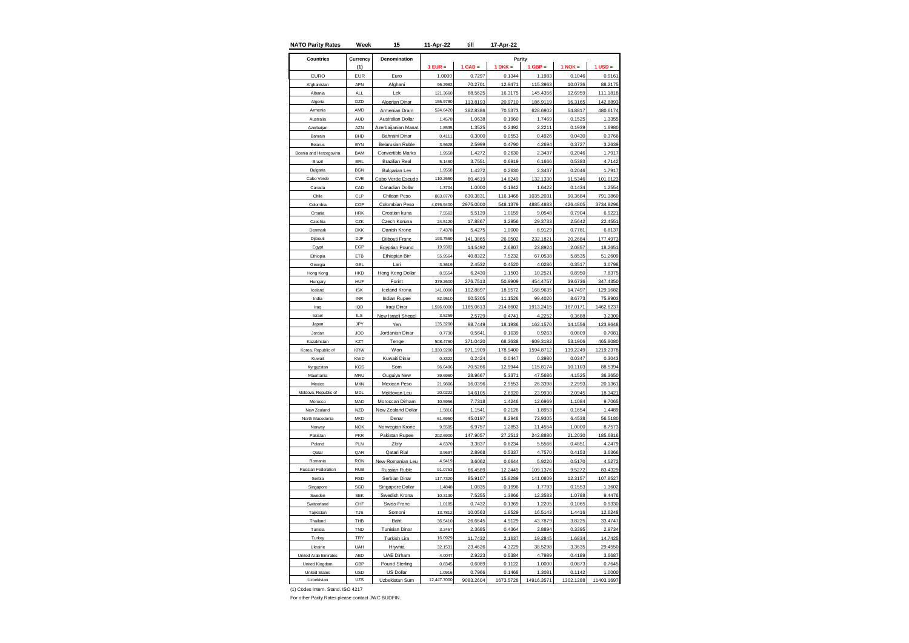| <b>NATO Parity Rates</b> | Week                 | 15                        | 11-Apr-22            | till              | 17-Apr-22         |                    |                   |                    |
|--------------------------|----------------------|---------------------------|----------------------|-------------------|-------------------|--------------------|-------------------|--------------------|
| <b>Countries</b>         | Currency             | Denomination              |                      |                   |                   | Parity             |                   |                    |
|                          | (1)                  |                           | $1$ EUR =            | $1$ CAD =         | $1 DKK =$         | $1$ GBP =          | $1$ NOK =         | $1$ USD $=$        |
| <b>EURO</b>              | <b>EUR</b>           | Euro                      | 1.0000               | 0.7297            | 0.1344            | 1.1983             | 0.1046            | 0.9161             |
| Afghanistar              | AFN                  | Afghani                   | 96.2982              | 70.2701           | 12.9471           | 115.3963           | 10.0736           | 88.2175            |
| Albania                  | <b>ALL</b>           | Lek                       | 121.3660             | 88.5625           | 16.3175           | 145.4356           | 12.6959           | 111.1818           |
| Algeria                  | DZD                  | Algerian Dinar            | 155.9780             | 113.8193          | 20.9710           | 186.9119           | 16.3165           | 142.8893           |
| Armenia                  | AMD                  | Armenian Dram             | 524.6420             | 382.8386          | 70.5373           | 628.6902           | 54.8817           | 480.6174           |
| Australia                | <b>AUD</b>           | Australian Dollar         | 1.4578               | 1.0638            | 0.1960            | 1.7469             | 0.1525            | 1.3355             |
| Azerbaijan               | A7N                  | zerbaijanian Manat        | 1.8535               | 1.3525            | 0.2492            | 2.2211             | 0.1939            | 1.6980             |
| Bahrain                  | <b>BHD</b>           | <b>Bahraini Dinar</b>     | 0.4111               | 0.3000            | 0.0553            | 0.4926             | 0.0430            | 0.3766             |
| Belarus                  | <b>BYN</b>           | <b>Belarusian Ruble</b>   | 3.5628               | 2.5999            | 0.4790            | 4.2694             | 0.3727            | 3.2639             |
| Bosnia and Herzegovina   | BAM                  | Convertible Marks         | 1.9558               | 1.4272            | 0.2630            | 2.3437             | 0.2046            | 1.7917             |
| Brazil                   | <b>BRI</b>           | <b>Brazilian Real</b>     | 5.1460               | 3.7551            | 0.6919            | 6.1666             | 0.5383            | 4.7142             |
| Bulgaria                 | <b>BGN</b>           | <b>Bulgarian Lev</b>      | 1.9558               | 1.4272            | 0.2630            | 2.3437             | 0.2046            | 1.7917             |
| Cabo Verde               | CVE                  | Cabo Verde Escudo         | 110.2650             | 80.4619           | 14.8249           | 132.1330           | 11.5346           | 101.0123           |
| Canada                   | CAD                  | Canadian Dollar           | 1.3704               | 1.0000            | 0.1842            | 1.6422             | 0.1434            | 1.2554             |
| Chile                    | CLP                  | Chilean Peso              | 863.8770             | 630.3831          | 116.1468          | 1035.2031          | 90.3684           | 791.3860           |
| Colombia                 | COP                  | Colombian Peso            | 4,076.9400           | 2975.0000         | 548.1379          | 4885.4883          | 426.4805          | 3734.8296          |
| Croatia                  | <b>HRK</b>           | Croatian kuna             | 7.5562               | 5.5139            | 1.0159            | 9.0548             | 0.7904            | 6.9221             |
| Czechia                  | CZK                  | Czech Koruna              | 24.5120              | 17.8867           | 3.2956            | 29.3733            | 2.5642            | 22.4551            |
| Denmark                  | <b>DKK</b>           | Danish Krone              | 7.4378               | 5.4275            | 1.0000            | 8.9129             | 0.7781            | 6.8137             |
| Djibouti                 | DJF                  | Djibouti Franc            | 193.7560             | 141.3865          | 26.0502           | 232.1821           | 20.2684           | 177.4973           |
| Egypt                    | EGP                  | Egyptian Pound            | 19.9382              | 14.5492           | 2.6807            | 23.8924            | 2.0857            | 18.2651            |
| Ethiopia                 | ETB                  | Ethiopian Birr            | 55.9564              | 40.8322           | 7.5232            | 67.0538            | 5.8535            | 51.2609            |
| Georgia                  | GEL                  | Lari                      | 3.3619               | 2.4532            | 0.4520            | 4.0286             | 0.3517            | 3.0798             |
| Hong Kong                | HKD                  | Hong Kong Dollar          | 8.5554               | 6.2430            | 1.1503            | 10.2521            | 0.8950            | 7.8375             |
| Hungary                  | <b>HUF</b>           | Forint                    | 379.2600             | 276.7513          | 50.9909           | 454.4757           | 39.6736           | 347.4350           |
| Iceland                  | <b>ISK</b>           | Iceland Krona             | 141,0000             | 102.8897          | 18.9572           | 168.9635           | 14.7497           | 129.1682           |
| India                    | <b>INR</b>           | Indian Rupee              | 82.9510              | 60.5305           | 11.1526           | 99.4020            | 8.6773            | 75.9903            |
| Iraq                     | IQD<br>$\parallel$ S | Iraqi Dinar               | 1,596.6000<br>3.5259 | 1165.0613         | 214.6602          | 1913.2415          | 167.0171          | 1462.6237          |
| Israel<br>Japan          | JPY                  | New Israeli Sheqel<br>Yen | 135.3200             | 2.5729<br>98.7449 | 0.4741            | 4.2252             | 0.3688<br>14.1556 | 3.2300             |
| Jordan                   | JOD                  | Jordanian Dinar           | 0.7730               | 0.5641            | 18.1936<br>0.1039 | 162.1570<br>0.9263 | 0.0809            | 123.9648<br>0.7081 |
| Kazakhstan               | KZT                  | Tenge                     | 508.4760             | 371.0420          | 68.3638           | 609.3182           | 53.1906           | 465.8080           |
| Korea, Republic of       | <b>KRW</b>           | Won                       | 1,330.9200           | 971.1909          | 178.9400          | 1594.8712          | 139.2249          | 1219.2378          |
| Kuwait                   | <b>KWD</b>           | Kuwaiti Dinar             | 0.3322               | 0.2424            | 0.0447            | 0.3980             | 0.0347            | 0.3043             |
| Kyrgyzstan               | KGS                  | Som                       | 96.6496              | 70.5266           | 12.9944           | 115.8174           | 10.1103           | 88.5394            |
| Mauritania               | MRU                  | Ouguiya New               | 39.6960              | 28.9667           | 5.3371            | 47.5686            | 4.1525            | 36.3650            |
| Mexico                   | <b>MXN</b>           | <b>Mexican Peso</b>       | 21.9806              | 16.0396           | 2.9553            | 26.3398            | 2.2993            | 20.1361            |
| Moldova, Republic of     | MDL                  | Moldovan Leu              | 20.0222              | 14.6105           | 2.6920            | 23.9930            | 2.0945            | 18.342             |
| Morocco                  | MAD                  | Moroccan Dirham           | 10.5956              | 7.7318            | 1.4246            | 12.6969            | 1.1084            | 9.7065             |
| New Zealand              | <b>NZD</b>           | New Zealand Dollar        | 1.5816               | 1.1541            | 0.2126            | 1.8953             | 0.1654            | 1.4489             |
| North Macedonia          | <b>MKD</b>           | Denar                     | 61.6950              | 45.0197           | 8.2948            | 73.9305            | 6.4538            | 56.5180            |
| Norway                   | <b>NOK</b>           | Norwegian Krone           | 9.5595               | 6.9757            | 1.2853            | 11.4554            | 1.0000            | 8.7573             |
| Pakistan                 | PKR                  | Pakistan Rupee            | 202.6900             | 147.9057          | 27.2513           | 242.8880           | 21.2030           | 185.6816           |
| Poland                   | PLN                  | Zloty                     | 4.6370               | 3.3837            | 0.6234            | 5.5566             | 0.4851            | 4.2479             |
| Qatar                    | QAR                  | Qatari Rial               | 3.9697               | 2.8968            | 0.5337            | 4.7570             | 0.4153            | 3.6366             |
| Romania                  | <b>RON</b>           | New Romanian Leu          | 4.9419               | 3.6062            | 0.6644            | 5.9220             | 0.5170            | 4.5272             |
| Russian Federation       | <b>RUB</b>           | Russian Ruble             | 91.0753              | 66.4589           | 12.2449           | 109.1376           | 9.5272            | 83.4329            |
| Serbia                   | <b>RSD</b>           | Serbian Dinar             | 117,7320             | 85.9107           | 15.8289           | 141.0809           | 12.3157           | 107.8527           |
| Singapore                | SGD                  | Singapore Dollar          | 1.4848               | 1.0835            | 0.1996            | 1.7793             | 0.1553            | 1.3602             |
| Sweden                   | <b>SEK</b>           | Swedish Krona             | 10.3130              | 7.5255            | 1.3866            | 12.3583            | 1.0788            | 9.4476             |
| Switzerland              | CHF                  | Swiss Franc               | 1.0185               | 0.7432            | 0.1369            | 1.2205             | 0.1065            | 0.9330             |
| Taiikistan               | <b>TJS</b>           | Somoni                    | 13.7812              | 10.0563           | 1.8529            | 16.5143            | 1.4416            | 12.6248            |
| Thailand                 | THB                  | Baht                      | 36.5410              | 26.6645           | 4.9129            | 43.7879            | 3.8225            | 33.4747            |
| Tunisia                  | TND                  | <b>Tunisian Dinar</b>     | 3.2457               | 2.3685            | 0.4364            | 3.8894             | 0.3395            | 2.9734             |
| Turkey                   | TRY                  | Turkish Lira              | 16.0929              | 11.7432           | 2.1637            | 19.2845            | 1.6834            | 14.7425            |
| Ukraine                  | UAH                  | Hrvnia                    | 32.1531              | 23.4626           | 4.3229            | 38.5298            | 3.3635            | 29.4550            |
| United Arab Emirates     | AED                  | <b>UAE Dirham</b>         | 4.0047               | 2.9223            | 0.5384            | 4.7989             | 0.4189            | 3.6687             |
| United Kingdom           | GBP                  | <b>Pound Sterling</b>     | 0.8345               | 0.6089            | 0.1122            | 1.0000             | 0.0873            | 0.7645             |
| <b>United States</b>     | <b>USD</b>           | US Dollar                 | 1.0916               | 0.7966            | 0.1468            | 1.3081             | 0.1142            | 1.0000             |
| Uzbekistan               | UZS                  | Uzbekistan Sum            | 12,447.7000          | 9083.2604         | 1673.5728         | 14916.3571         | 1302.1288         | 11403.1697         |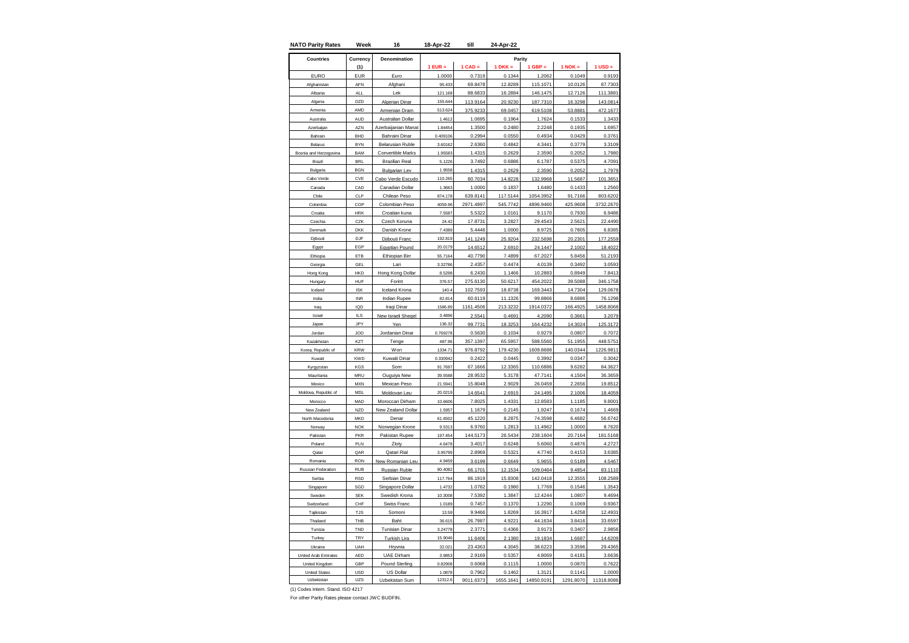| <b>NATO Parity Rates</b> | Week          | 16                       | 18-Apr-22 | till      | 24-Apr-22 |            |             |             |
|--------------------------|---------------|--------------------------|-----------|-----------|-----------|------------|-------------|-------------|
| <b>Countries</b>         | Currency      | Denomination             |           |           | Parity    |            |             |             |
|                          | (1)           |                          | $1$ EUR = | $1$ CAD = | $1 DKK =$ | $1$ GBP =  | $1$ NOK $=$ | $1$ USD $=$ |
| <b>EURO</b>              | <b>EUR</b>    | Euro                     | 1.0000    | 0.7319    | 0.1344    | 1.2062     | 0.1049      | 0.9193      |
| Afghanistar              | AFN           | Afghani                  | 95.433    | 69.8478   | 12.8289   | 115.1071   | 10.0126     | 87.7303     |
| Albania                  | <b>ALL</b>    | Lek                      | 121.168   | 88.6833   | 16.2884   | 146.1475   | 12.7126     | 111.3881    |
| Algeria                  | DZD           | Algerian Dinar           | 155.644   | 113.9164  | 20.9230   | 187.7310   | 16.3298     | 143.0814    |
| Armenia                  | AMD           | Armenian Dram            | 513.624   | 375.9233  | 69.0457   | 619.5108   | 53.8881     | 472.1677    |
| Australia                | AUD           | Australian Dollar        | 1.4612    | 1.0695    | 0.1964    | 1.7624     | 0.1533      | 1.3433      |
| Azerbaijan               | A7N           | zerbaijanian Manat       | 1.84454   | 1.3500    | 0.2480    | 2.2248     | 0.1935      | 1.6957      |
| Bahrain                  | <b>BHD</b>    | <b>Bahraini Dinar</b>    | 0.409106  | 0.2994    | 0.055C    | 0.4934     | 0.0429      | 0.3761      |
| Belarus                  | <b>BYN</b>    | <b>Belarusian Ruble</b>  | 3.60162   | 2.6360    | 0.4842    | 4.3441     | 0.3779      | 3.3109      |
| Bosnia and Herzegovina   | <b>BAM</b>    | <b>Convertible Marks</b> | 1.95583   | 1.4315    | 0.2629    | 2.3590     | 0.2052      | 1.7980      |
| Brazil                   | <b>BRI</b>    | <b>Brazilian Real</b>    | 5.1226    | 3.7492    | 0.6886    | 6.1787     | 0.5375      | 4.7091      |
| Bulgaria                 | <b>BGN</b>    | <b>Bulgarian Lev</b>     | 1.9558    | 1.4315    | 0.2629    | 2.3590     | 0.2052      | 1.7979      |
| Cabo Verde               | CVE           | Cabo Verde Escudo        | 110.265   | 80.7034   | 14.8228   | 132.9968   | 11.5687     | 101.3651    |
| Canada                   | CAD           | Canadian Dollar          | 1.3663    | 1.0000    | 0.1837    | 1.6480     | 0.1433      | 1.2560      |
| Chile                    | CLP           | Chilean Peso             | 874.178   | 639.8141  | 117.5144  | 1054.3952  | 91.7166     | 803.6202    |
| Colombia                 | COP           | Colombian Peso           | 4059.96   | 2971.4997 | 545.7742  | 4896.9460  | 425.9608    | 3732.2670   |
| Croatia                  | <b>HRK</b>    | Croatian kuna            | 7.5587    | 5.5322    | 1.0161    | 9.1170     | 0.7930      | 6.9486      |
| Czechia                  | CZK           | Czech Koruna             | 24.42     | 17.8731   | 3.2827    | 29.4543    | 2.5621      | 22.4490     |
| Denmark                  | <b>DKK</b>    | Danish Krone             | 7.4389    | 5.4446    | 1.0000    | 8.9725     | 0.7805      | 6.8385      |
| Djibouti                 | DJF           | Djibouti Franc           | 192.819   | 141.1249  | 25.9204   | 232.5698   | 20.2301     | 177.2559    |
| Egypt                    | EGP           | Egyptian Pound           | 20.0179   | 14.6512   | 2.6910    | 24.1447    | 2.1002      | 18.4022     |
| Ethiopia                 | ETB           | Ethiopian Birr           | 55.7164   | 40.7790   | 7.4899    | 67.2027    | 5.8456      | 51.2193     |
| Georgia                  | GEL           | Lari                     | 3.32786   | 2.4357    | 0.4474    | 4.0139     | 0.3492      | 3.0593      |
| Hong Kong                | HKD           | Hong Kong Dollar         | 8.5298    | 6.2430    | 1.1466    | 10.2883    | 0.8949      | 7.8413      |
| Hungary                  | HUF           | Forint                   | 376.57    | 275.6130  | 50.6217   | 454.2022   | 39.5088     | 346.1758    |
| Iceland                  | <b>ISK</b>    | Iceland Krona            | 140.4     | 102.7593  | 18.8738   | 169.3443   | 14.7304     | 129.0678    |
| India                    | <b>INR</b>    | Indian Rupee             | 82.814    | 60.6119   | 11.1326   | 99.8866    | 8.6886      | 76.1298     |
| Iraq                     | IQD           | Iraqi Dinar              | 1586.89   | 1161.4506 | 213.3232  | 1914.0372  | 166.4925    | 1458.8068   |
| Israel                   | $\parallel$ S | New Israeli Sheqel       | 3.4896    | 2.5541    | 0.4691    | 4.2090     | 0.3661      | 3.2079      |
| Japan                    | JPY           | Yen                      | 136.32    | 99.7731   | 18.3253   | 164.4232   | 14.3024     | 125.3172    |
| Jordan                   | JOD           | Jordanian Dinar          | 0.769278  | 0.5630    | 0.1034    | 0.9279     | 0.0807      | 0.7072      |
| Kazakhstan               | KZT           | Tenge                    | 487.96    | 357.1397  | 65.5957   | 588.5560   | 51.1955     | 448.5751    |
| Korea, Republic of       | <b>KRW</b>    | Won                      | 1334.71   | 976.8792  | 179.4230  | 1609.8688  | 140.0344    | 1226.9811   |
| Kuwait                   | <b>KWD</b>    | Kuwaiti Dinar            | 0.330942  | 0.2422    | 0.0445    | 0.3992     | 0.0347      | 0.3042      |
| Kyrgyzstan               | KGS           | Som                      | 91.7697   | 67.1666   | 12.3365   | 110.6886   | 9.6282      | 84.3627     |
| Mauritania               | MRU           | Ouguiya New              | 39.5588   | 28.9532   | 5.3178    | 47.7141    | 4.1504      | 36.3659     |
| Mexico                   | <b>MXN</b>    | Mexican Peso             | 21.5941   | 15.8048   | 2.9029    | 26.0459    | 2.2656      | 19.8512     |
| Moldova, Republic of     | MDL           | Moldovan Leu             | 20.0219   | 14.6541   | 2.6915    | 24.1495    | 2.1006      | 18.4059     |
| Morocco                  | MAD           | Moroccan Dirham          | 10.6606   | 7.8025    | 1.4331    | 12.8583    | 1.1185      | 9.8001      |
| New Zealand              | <b>NZD</b>    | New Zealand Dollar       | 1.5957    | 1.1679    | 0.2145    | 1.9247     | 0.1674      | 1.4669      |
| North Macedonia          | <b>MKD</b>    | Denar                    | 61.6502   | 45.1220   | 8.2875    | 74.3598    | 6.4682      | 56.6742     |
| Norway                   | <b>NOK</b>    | Norwegian Krone          | 9.5313    | 6.9760    | 1.2813    | 11.4962    | 1.0000      | 8.7620      |
| Pakistan                 | PKR           | Pakistan Rupee           | 197.454   | 144.5173  | 26.5434   | 238.1604   | 20.7164     | 181.5168    |
| Poland                   | PLN           | Zloty                    | 4.6478    | 3.4017    | 0.6248    | 5.6060     | 0.4876      | 4.2727      |
| Qatar                    | QAR           | Qatari Rial              | 3.95799   | 2.8969    | 0.5321    | 4.7740     | 0.4153      | 3.6385      |
| Romania                  | <b>RON</b>    | New Romanian Leu         | 4.9459    | 3.6199    | 0.6649    | 5.9655     | 0.5189      | 4.5467      |
| Russian Federation       | <b>RUB</b>    | Russian Ruble            | 90.4082   | 66.1701   | 12.1534   | 109.0464   | 9.4854      | 83.1110     |
| Serbia                   | <b>RSD</b>    | Serbian Dinar            | 117.764   | 86.1919   | 15,8308   | 142.0418   | 12.3555     | 108.2589    |
| Singapore                | SGD           | Singapore Dollar         | 1.4732    | 1.0782    | 0.1980    | 1.7769     | 0.1546      | 1.3543      |
| Sweden                   | <b>SEK</b>    | Swedish Krona            | 10.3008   | 7.5392    | 1.3847    | 12.4244    | 1.0807      | 9.4694      |
| Switzerland              | CHF           | <b>Swiss Franc</b>       | 1.0189    | 0.7457    | 0.1370    | 1.2290     | 0.1069      | 0.9367      |
| Taiikistan               | <b>TJS</b>    | Somoni                   | 13.59     | 9.9466    | 1.8269    | 16.3917    | 1.4258      | 12.493      |
| Thailand                 | THB           | Baht                     | 36.615    | 26.7987   | 4.9221    | 44.1634    | 3.8416      | 33.6597     |
| Tunisia                  | TND           | <b>Tunisian Dinar</b>    | 3.24778   | 2.3771    | 0.4366    | 3.9173     | 0.3407      | 2.9856      |
| Turkey                   | TRY           | Turkish Lira             | 15.9046   | 11.6406   | 2.1380    | 19.1834    | 1.6687      | 14.6209     |
| Ukraine                  | UAH           | Hrvnia                   | 32.021    | 23.4363   | 4.3045    | 38.6223    | 3.3596      | 29.4365     |
| United Arab Emirates     | AED           | <b>UAE Dirham</b>        | 3.985     | 2.9169    | 0.5357    | 4.8069     | 0.4181      | 3.6636      |
| United Kingdom           | GBP           | <b>Pound Sterling</b>    | 0.82908   | 0.6068    | 0.1115    | 1.0000     | 0.0870      | 0.7622      |
| <b>United States</b>     | <b>USD</b>    | US Dollar                | 1.0878    | 0.7962    | 0.1462    | 1.3121     | 0.1141      | 1.0000      |
| Uzbekistan               | UZS           | Uzbekistan Sum           | 12312.6   | 9011.6373 | 1655.1641 | 14850.9191 | 1291.8070   | 11318.8086  |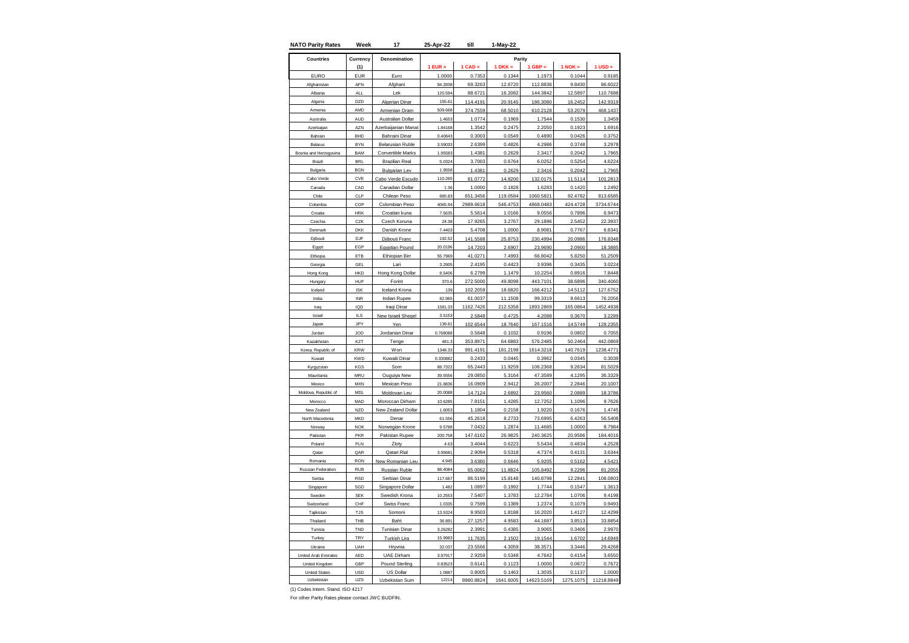| <b>NATO Parity Rates</b> | Week          | 17                      | 25-Apr-22 | till      | 1-May-22    |            |             |             |
|--------------------------|---------------|-------------------------|-----------|-----------|-------------|------------|-------------|-------------|
| <b>Countries</b>         | Currency      | Denomination            |           |           |             | Parity     |             |             |
|                          | (1)           |                         | $1$ EUR = | $1$ CAD = | $1$ DKK $=$ | $1$ GBP =  | $1$ NOK $=$ | $1$ USD $=$ |
| <b>EURO</b>              | <b>EUR</b>    | Euro                    | 1.0000    | 0.7353    | 0.1344      | 1.1973     | 0.1044      | 0.9185      |
| Afghanistar              | AFN           | Afghani                 | 94.2838   | 69.3263   | 12.6720     | 112.8836   | 9.8430      | 86.6022     |
| Albania                  | <b>ALL</b>    | Lek                     | 120.594   | 88.6721   | 16.2082     | 144.3842   | 12.5897     | 110.7688    |
| Algeria                  | DZD           | Algerian Dinar          | 155.61    | 114,4191  | 20.9145     | 186.3080   | 16.2452     | 142.9319    |
| Armenia                  | AMD           | Armenian Dram           | 509.668   | 374.7559  | 68.5010     | 610.2128   | 53.2079     | 468.1437    |
| Australia                | <b>AUD</b>    | Australian Dollar       | 1.4653    | 1.0774    | 0.1969      | 1.7544     | 0.1530      | 1.3459      |
| Azerbaijan               | A7N           | zerbaijanian Manat      | 1.84168   | 1.3542    | 0.2475      | 2.2050     | 0.1923      | 1.6916      |
| Bahrain                  | <b>BHD</b>    | <b>Bahraini Dinar</b>   | 0.40843   | 0.3003    | 0.0549      | 0.4890     | 0.0426      | 0.3752      |
| Belarus                  | <b>BYN</b>    | <b>Belarusian Ruble</b> | 3.59033   | 2.6399    | 0.4826      | 4.2986     | 0.3748      | 3.2978      |
| Bosnia and Herzegovina   | BAM           | Convertible Marks       | 1.95583   | 1.4381    | 0.2629      | 2.3417     | 0.2042      | 1.7965      |
| Brazil                   | <b>BRI</b>    | <b>Brazilian Real</b>   | 5.0324    | 3.7003    | 0.6764      | 6.0252     | 0.5254      | 4.6224      |
| Bulgaria                 | <b>BGN</b>    | <b>Bulgarian Lev</b>    | 1.9558    | 1.4381    | 0.2629      | 2.3416     | 0.2042      | 1.7965      |
| Cabo Verde               | CVE           | Cabo Verde Escudo       | 110.265   | 81.0772   | 14.8200     | 132.0175   | 11.5114     | 101.2813    |
| Canada                   | CAD           | Canadian Dollar         | 1.36      | 1.0000    | 0.1828      | 1.6283     | 0.1420      | 1.2492      |
| Chile                    | CLP           | Chilean Peso            | 885.83    | 651.3456  | 119.0584    | 1060.5821  | 92.4782     | 813.6585    |
| Colombia                 | COP           | Colombian Peso          | 4065.94   | 2989.6618 | 546,475     | 4868.0483  | 424.4728    | 3734.6744   |
| Croatia                  | <b>HRK</b>    | Croatian kuna           | 7.5635    | 5.5614    | 1.0166      | 9.0556     | 0.7896      | 6.9473      |
| Czechia                  | CZK           | Czech Koruna            | 24.38     | 17.9265   | 3.2767      | 29.1896    | 2.5452      | 22.3937     |
| Denmark                  | <b>DKK</b>    | Danish Krone            | 7.4403    | 5.4708    | 1.0000      | 8.9081     | 0.7767      | 6.8341      |
| Djibouti                 | DJF           | Djibouti Franc          | 192.52    | 141.5588  | 25.8753     | 230.4994   | 20.0986     | 176.8348    |
| Egypt                    | EGP           | Egyptian Pound          | 20.0196   | 14.7203   | 2.6907      | 23.9690    | 2.0900      | 18.3885     |
| Ethiopia                 | ETB           | Ethiopian Birr          | 55.7969   | 41.0271   | 7.4993      | 66.8042    | 5.8250      | 51.2509     |
| Georgia                  | GEL           | Lari                    | 3.2905    | 2.4195    | 0.4423      | 3.9396     | 0.3435      | 3.0224      |
| Hong Kong                | <b>HKC</b>    | Hong Kong Dollar        | 8.5406    | 6.2799    | 1.1479      | 10.2254    | 0.8916      | 7.8448      |
| Hungary                  | <b>HUF</b>    | Forint                  | 370.6     | 272.5000  | 49.8098     | 443.7101   | 38.6896     | 340.4060    |
| Iceland                  | <b>ISK</b>    | Iceland Krona           | 139       | 102.2059  | 18.6820     | 166.4212   | 14.5112     | 127.6752    |
| India                    | <b>INR</b>    | Indian Rupee            | 82.965    | 61.0037   | 11.1508     | 99.3319    | 8.6613      | 76.2056     |
| Iraq                     | IQD           | Iraqi Dinar             | 1581.33   | 1162.7426 | 212.5358    | 1893.2869  | 165.0864    | 1452.4938   |
| Israel                   | $\parallel$ S | New Israeli Sheqel      | 3.5153    | 2.5848    | 0.4725      | 4.2088     | 0.3670      | 3.2289      |
| Japan                    | JPY           | Yen                     | 139.61    | 102.6544  | 18.7640     | 167.1516   | 14.5749     | 128.2355    |
| Jordan                   | JOD           | Jordanian Dinar         | 0.768088  | 0.5648    | 0.1032      | 0.9196     | 0.0802      | 0.7055      |
| Kazakhstan               | KZT           | Tenge                   | 481.3     | 353.8971  | 64.6883     | 576.2485   | 50.2464     | 442.0869    |
| Korea, Republic of       | <b>KRW</b>    | Won                     | 1348.33   | 991.4191  | 181.2198    | 1614.3218  | 140.7619    | 1238.4771   |
| Kuwait                   | <b>KWD</b>    | Kuwaiti Dinar           | 0.330882  | 0.2433    | 0.0445      | 0.3962     | 0.0345      | 0.3039      |
| Kyrgyzstan               | KGS           | Som                     | 88.7322   | 65.2443   | 11.9259     | 106.2368   | 9.2634      | 81.5029     |
| Mauritania               | <b>MRU</b>    | Ouguiya New             | 39.5556   | 29.0850   | 5.3164      | 47.3589    | 4.1295      | 36.3329     |
| Mexico                   | <b>MXN</b>    | <b>Mexican Peso</b>     | 21.8836   | 16.0909   | 2.9412      | 26.2007    | 2.2846      | 20.1007     |
| Moldova, Republic of     | <b>MDL</b>    | Moldovan Leu            | 20.0088   | 14.7124   | 2.6892      | 23.9560    | 2.0889      | 18.3786     |
| Morocco                  | MAD           | Moroccan Dirham         | 10.6285   | 7.8151    | 1.4285      | 12.7252    | 1.1096      | 9.7626      |
| New Zealand              | <b>NZD</b>    | New Zealand Dollar      | 1.6053    | 1.1804    | 0.2158      | 1.9220     | 0.1676      | 1.4745      |
| North Macedonia          | <b>MKD</b>    | Denar                   | 61.556    | 45.2618   | 8.2733      | 73.6995    | 6.4263      | 56.5408     |
| Norway                   | <b>NOK</b>    | Norwegian Krone         | 9.5788    | 7.0432    | 1.2874      | 11.4685    | 1.0000      | 8.7984      |
| Pakistan                 | PKR           | Pakistan Rupee          | 200.758   | 147.6162  | 26.9825     | 240.3625   | 20.9586     | 184.4016    |
| Poland                   | PLN           | Zloty                   | 4.63      | 3.4044    | 0.6223      | 5.5434     | 0.4834      | 4.2528      |
| Qatar                    | QAR           | Qatari Rial             | 3.95681   | 2.9094    | 0.5318      | 4.7374     | 0.4131      | 3.6344      |
| Romania                  | <b>RON</b>    | New Romanian Leu        | 4.945     | 3.6360    | 0.6646      | 5.9205     | 0.5162      | 4.5421      |
| Russian Federation       | <b>RUB</b>    | Russian Ruble           | 88.4084   | 65.0062   | 11.8824     | 105.8492   | 9.2296      | 81.2055     |
| Serbia                   | <b>RSD</b>    | Serbian Dinar           | 117.667   | 86.5199   | 15.8148     | 140.8798   | 12.2841     | 108.0803    |
| Singapore                | SGD           | Singapore Dollar        | 1.482     | 1.0897    | 0.1992      | 1.7744     | 0.1547      | 1.3613      |
| Sweden                   | <b>SEK</b>    | Swedish Krona           | 10.2553   | 7.5407    | 1.3783      | 12.2784    | 1.0706      | 9.4198      |
| Switzerland              | CHF           | <b>Swiss Franc</b>      | 1.0335    | 0.7599    | 0.1389      | 1.2374     | 0.1079      | 0.9493      |
| Taiikistan               | <b>TJS</b>    | Somoni                  | 13.532    | 9.9503    | 1.8188      | 16.2020    | 1.4127      | 12.4299     |
| Thailand                 | THB           | Baht                    | 36.891    | 27.1257   | 4.9583      | 44.1687    | 3.8513      | 33.8854     |
| Tunisia                  | TND           | <b>Tunisian Dinar</b>   | 3.2628    | 2.3991    | 0.4385      | 3.9065     | 0.3406      | 2.9970      |
| Turkey                   | TRY           | Turkish Lira            | 15.9983   | 11.7635   | 2.1502      | 19.1544    | 1.6702      | 14.6949     |
| Ukraine                  | UAH           | Hrvnia                  | 32.037    | 23.5566   | 4.3059      | 38.3571    | 3.3446      | 29.4268     |
| United Arab Emirates     | AED           | <b>UAE Dirham</b>       | 3.97917   | 2.9259    | 0.5348      | 4.7642     | 0.4154      | 3.6550      |
| United Kingdom           | GBP           | <b>Pound Sterling</b>   | 0.8352    | 0.6141    | 0.1123      | 1.0000     | 0.0872      | 0.7672      |
| <b>United States</b>     | <b>USD</b>    | <b>US Dollar</b>        | 1.0887    | 0.8005    | 0.1463      | 1.3035     | 0.1137      | 1.0000      |
| Uzbekistan               | UZS           | Uzbekistan Sum          | 12214     | 8980.8824 | 1641.6005   | 14623.5169 | 1275.1075   | 11218.8849  |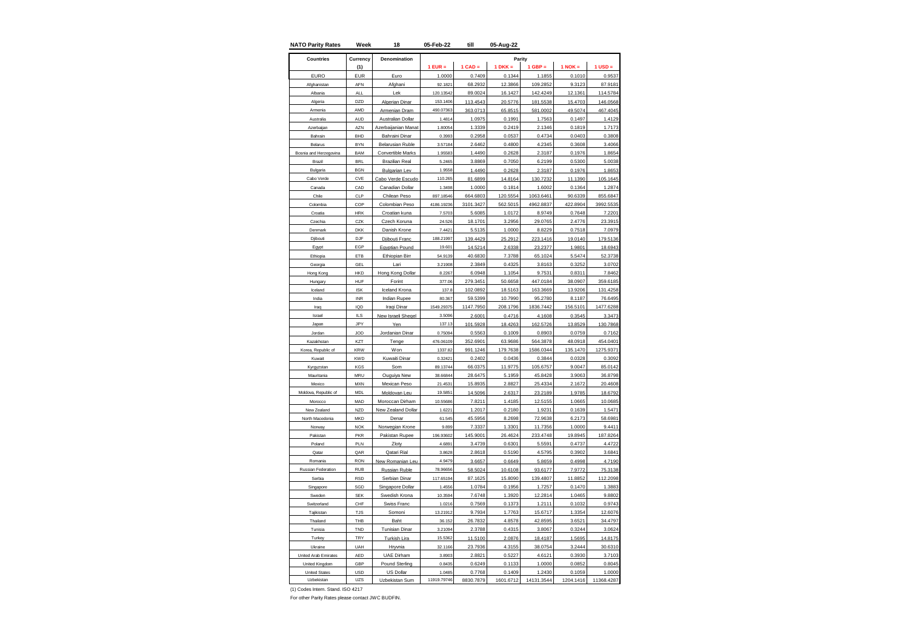| <b>NATO Parity Rates</b> | Week             | 18                      | 05-Feb-22   | till      | 05-Aug-22 |            |           |             |
|--------------------------|------------------|-------------------------|-------------|-----------|-----------|------------|-----------|-------------|
| <b>Countries</b>         | Currency         | Denomination            |             |           | Parity    |            |           |             |
|                          | (1)              |                         | $1$ EUR =   | $1$ CAD = | $1 DKK =$ | $1$ GBP =  | $1$ NOK = | $1$ USD $=$ |
| <b>EURO</b>              | EUR              | Furo                    | 1.0000      | 0.7409    | 0.1344    | 1.1855     | 0.1010    | 0.9537      |
| Afghanistar              | AFN              | Afghani                 | 92.182      | 68.293    | 12.3866   | 109.2852   | 9.312     | 87.918      |
| Albania                  | <b>ALL</b>       | Lek                     | 120.13542   | 89.0024   | 16.1427   | 142.4249   | 12.1361   | 114.5784    |
| Algeria                  | D <sub>7</sub> D | Algerian Dinar          | 153.1406    | 113.4543  | 20.5776   | 181.5538   | 15.4703   | 146.0568    |
| Armenia                  | AMD              | Armenian Dram           | 490.07363   | 363.0713  | 65.8515   | 581.0002   | 49.5074   | 467.4045    |
| Australia                | AUD              | Australian Dollar       | 1.4814      | 1.0975    | 0.1991    | 1.7563     | 0.1497    | 1.4129      |
| Azerbaijan               | AZN              | zerbaijanian Manat      | 1.80054     | 1.3339    | 0.2419    | 2.1346     | 0.1819    | 1.7173      |
| Bahrain                  | <b>BHD</b>       | <b>Bahraini Dinar</b>   | 0.3993      | 0.2958    | 0.0537    | 0.4734     | 0.0403    | 0.3808      |
| Belarus                  | <b>BYN</b>       | <b>Belarusian Ruble</b> | 3.57184     | 2.6462    | 0.4800    | 4.2345     | 0.3608    | 3.4066      |
| Bosnia and Herzegovina   | <b>BAM</b>       | Convertible Marks       | 1.95583     | 1.4490    | 0.2628    | 2.3187     | 0.1976    | 1.8654      |
| Brazil                   | <b>BRI</b>       | <b>Brazilian Real</b>   | 5.2465      | 3.8869    | 0.7050    | 6.2199     | 0.5300    | 5.0038      |
| Bulgaria                 | <b>BGN</b>       | <b>Bulgarian Lev</b>    | 1.9558      | 1.4490    | 0.2628    | 2.3187     | 0.1976    | 1.8653      |
| Cabo Verde               | CVE              | Cabo Verde Escudo       | 110.26      | 81.6899   | 14.8164   | 130.7232   | 11.1390   | 105.1645    |
| Canada                   | CAD              | Canadian Dollar         | 1.3498      | 1.0000    | 0.1814    | 1.6002     | 0.1364    | 1.2874      |
| Chile                    | CLP              | Chilean Peso            | 897.18546   | 664,6803  | 120.5554  | 1063.6461  | 90.6339   | 855.6847    |
| Colombia                 | COP              | <b>Colombian Peso</b>   | 4186.19236  | 3101.3427 | 562.5015  | 4962.8837  | 422.8904  | 3992.5535   |
| Croatia                  | <b>HRK</b>       | Croatian kuna           | 7.5703      | 5.6085    | 1.0172    | 8.9749     | 0.7648    | 7.2201      |
| Czechia                  | CZK              | Czech Koruna            | 24.526      | 18.1701   | 3.2956    | 29.0765    | 2.4776    | 23.3915     |
| Denmark                  | <b>DKK</b>       | Danish Krone            | 7.4421      | 5.5135    | 1.0000    | 8.8229     | 0.7518    | 7.0979      |
| Djibouti                 | DJF              | Djibouti Franc          | 188.21997   | 139.4429  | 25.2912   | 223.1416   | 19.0140   | 179.5136    |
| Egypt                    | EGP              | Egyptian Pound          | 19.601      | 14.5214   | 2.6338    | 23.2377    | 1.9801    | 18.6943     |
| Ethiopia                 | ETB              | Ethiopian Birr          | 54.9139     | 40.6830   | 7.3788    | 65.1024    | 5.5474    | 52.3738     |
| Georgia                  | GEL              | Lari                    | 3.21908     | 2.3849    | 0.4325    | 3.8163     | 0.3252    | 3.0702      |
| long Kong                | HKD              | Hong Kong Dollar        | 8.226       | 6.0948    | 1.1054    | 9.7531     | 0.8311    | 7.846       |
| Hungary                  | <b>HUF</b>       | Forint                  | 377.06      | 279.3451  | 50.6658   | 447.0184   | 38.0907   | 359.6185    |
| Iceland                  | <b>ISK</b>       | Iceland Krona           | 137.8       | 102.0892  | 18.5163   | 163.3669   | 13.9206   | 131.4258    |
| India                    | <b>INR</b>       | Indian Rupee            | 80.367      | 59.5399   | 10.7990   | 95.2780    | 8.1187    | 76.6495     |
| Iraq                     | IQD              | Iraqi Dinar             | 1549.29375  | 1147.7950 | 208.1796  | 1836.7442  | 156.5101  | 1477.6288   |
| Israel                   | $II$ S           | New Israeli Sheqel      | 3.5096      | 2.6001    | 0.4716    | 4.1608     | 0.3545    | 3.3473      |
| Japan                    | JPY              | Yen                     | 137.13      | 101.5928  | 18.4263   | 162.5726   | 13.8529   | 130.7868    |
| Jordan                   | JOD              | Jordanian Dinar         | 0.75094     | 0.5563    | 0.1009    | 0.8903     | 0.0759    | 0.7162      |
| Kazakhstar               | KZT              | Tenge                   | 476.06109   | 352.6901  | 63.9686   | 564.3878   | 48.0918   | 454.0401    |
| Korea, Republic of       | <b>KRW</b>       | <b>Won</b>              | 1337.82     | 991.1246  | 179.7638  | 1586.0344  | 135.1470  | 1275.9371   |
| Kuwait                   | <b>KWD</b>       | Kuwaiti Dinar           | 0.32421     | 0.2402    | 0.0436    | 0.3844     | 0.0328    | 0.3092      |
| Kyrgyzstan               | KGS              | Som                     | 89.13744    | 66.0375   | 11.9775   | 105.6757   | 9.0047    | 85.0142     |
| Mauritania               | <b>MRU</b>       | Ouguiya New             | 38.66844    | 28.6475   | 5.1959    | 45.8428    | 3.9063    | 36.8798     |
| Mexico                   | <b>MXN</b>       | <b>Mexican Peso</b>     | 21.453      | 15.8935   | 2.8827    | 25.4334    | 2.1672    | 20.4608     |
| Moldova, Republic of     | <b>MDL</b>       | Moldovan Leu            | 19.585      | 14.5096   | 2.6317    | 23.2189    | 1.9785    | 18.6792     |
| Morocco                  | MAD              | Moroccan Dirham         | 10.55686    | 7.8211    | 1.4185    | 12.5155    | 1.0665    | 10.0685     |
| New Zealand              | <b>NZD</b>       | New Zealand Dollar      | 1.6221      | 1.2017    | 0.2180    | 1.9231     | 0.1639    | 1.5471      |
| North Macedonia          | <b>MKD</b>       | Denar                   | 61.545      | 45.5956   | 8.2698    | 72.9638    | 6.2173    | 58.6981     |
| Norway                   | <b>NOK</b>       | Norwegian Krone         | 9.899       | 7.3337    | 1.3301    | 11.7356    | 1.0000    | 9.4411      |
| Pakistan                 | PKR              | Pakistan Rupee          | 196.93602   | 145.9001  | 26.4624   | 233.4748   | 19.8945   | 187.8264    |
| Poland                   | PLN              | Zloty                   | 4.6891      | 3.4739    | 0.6301    | 5.5591     | 0.4737    | 4.4722      |
| Qatar                    | QAR              | Qatari Rial             | 3.8628      | 2.8618    | 0.5190    | 4.5795     | 0.3902    | 3.6841      |
| Romania                  | <b>RON</b>       | New Romanian Leu        | 4.9479      | 3.6657    | 0.6649    | 5.8659     | 0.4998    | 4.7190      |
| Russian Federation       | <b>RUB</b>       | Russian Ruble           | 78.96656    | 58.5024   | 10.6108   | 93.6177    | 7.9772    | 75.3138     |
| Serbia                   | <b>RSD</b>       | Serbian Dinar           | 117.65194   | 87.1625   | 15.8090   | 139.4807   | 11.8852   | 112.2098    |
| Singapore                | SGD              | Singapore Dollar        | 1.4556      | 1.0784    | 0.1956    | 1.7257     | 0.1470    | 1.3883      |
| Sweden                   | <b>SEK</b>       | Swedish Krona           | 10.3594     | 7.6748    | 1.3920    | 12.2814    | 1.0465    | 9.8802      |
| Switzerland              | CHF              | <b>Swiss Franc</b>      | 1.0216      | 0.7569    | 0.1373    | 1.2111     | 0.1032    | 0.9743      |
| Taiikistan               | <b>TJS</b>       | Somoni                  | 13.21912    | 9.7934    | 1.7763    | 15.6717    | 1.3354    | 12.6076     |
| Thailand                 | THB              | Baht                    | 36.152      | 26.7832   | 4.8578    | 42.8595    | 3.6521    | 34.4797     |
| Tunisia                  | TND              | <b>Tunisian Dinar</b>   | 3.21094     | 2.3788    | 0.4315    | 3.8067     | 0.3244    | 3.0624      |
| Turkey                   | TRY              | Turkish Lira            | 15.5362     | 11.5100   | 2.0876    | 18.4187    | 1.5695    | 14.8175     |
| Ukraine                  | UAH              | Hrvnia                  | 32.1166     | 23.7936   | 4.3155    | 38.0754    | 3.2444    | 30.6310     |
| United Arab Emirates     | AED              | <b>UAE Dirham</b>       | 3.890       | 2.8821    | 0.5227    | 4.6121     | 0.3930    | 3.7103      |
| United Kingdom           | GBP              | <b>Pound Sterling</b>   | 0.8435      | 0.6249    | 0.1133    | 1.0000     | 0.0852    | 0.8045      |
| <b>United States</b>     | <b>USD</b>       | US Dollar               | 1.0485      | 0.7768    | 0.1409    | 1.2430     | 0.1059    | 1.0000      |
| Uzbekistan               | UZS              | Uzbekistan Sum          | 11919.79746 | 8830.7879 | 1601.6712 | 14131.3544 | 1204.1416 | 11368.4287  |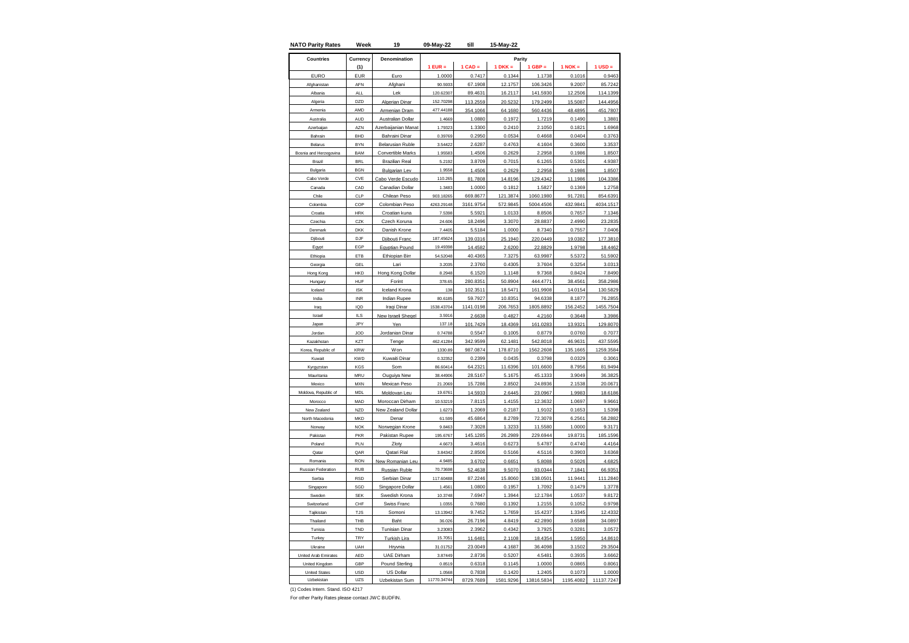| <b>NATO Parity Rates</b> | Week             | 19                        | 09-May-22            | till               | 15-May-22         |                    |                   |                    |
|--------------------------|------------------|---------------------------|----------------------|--------------------|-------------------|--------------------|-------------------|--------------------|
| <b>Countries</b>         | Currency         | Denomination              |                      |                    | Parity            |                    |                   |                    |
|                          | (1)              |                           | $1$ EUR =            | $1$ CAD =          | $1 DKK =$         | $1$ GBP =          | $1$ NOK =         | $1$ USD $=$        |
| <b>EURO</b>              | EUR              | Furo                      | 1.0000               | 0.7417             | 0.1344            | 1.1738             | 0.1016            | 0.9463             |
| Afghanistar              | AFN              | Afghani                   | 90.593               | 67.1908            | 12.1757           | 106.3426           | 9.2007            | 85.724             |
| Albania                  | <b>ALL</b>       | Lek                       | 120.62307            | 89.4631            | 16.2117           | 141.5930           | 12.2506           | 114.1399           |
| Algeria                  | D <sub>7</sub> D | Algerian Dinar            | 152.70298            | 113.2559           | 20.5232           | 179.2499           | 15.5087           | 144.4956           |
| Armenia                  | AMD              | Armenian Dram             | 477.44188            | 354.1066           | 64.1680           | 560.4436           | 48.4895           | 451.7807           |
| Australia                | AUD              | Australian Dollar         | 1.4669               | 1.0880             | 0.1972            | 1.7219             | 0.1490            | 1.3881             |
| Azerbaijan               | AZN              | zerbaijanian Manat        | 1.79323              | 1.3300             | 0.2410            | 2.1050             | 0.1821            | 1.6968             |
| Bahrain                  | <b>BHD</b>       | <b>Bahraini Dinar</b>     | 0.39769              | 0.2950             | 0.0534            | 0.4668             | 0.0404            | 0.3763             |
| Belarus                  | <b>BYN</b>       | <b>Belarusian Ruble</b>   | 3.54422              | 2.6287             | 0.4763            | 4.1604             | 0.3600            | 3.3537             |
| Bosnia and Herzegovina   | <b>BAM</b>       | <b>Convertible Marks</b>  | 1.95583              | 1.4506             | 0.2629            | 2.2958             | 0.1986            | 1.8507             |
| Brazil                   | <b>BRI</b>       | <b>Brazilian Real</b>     | 5.2192               | 3.8709             | 0.7015            | 6.1265             | 0.5301            | 4.9387             |
| Bulgaria                 | <b>BGN</b>       | <b>Bulgarian Lev</b>      | 1.9558               | 1.4506             | 0.2629            | 2.2958             | 0.1986            | 1.8507             |
| Cabo Verde               | CVE              | Cabo Verde Escudo         | 110.265              | 81.7808            | 14.8196           | 129.4342           | 11.1986           | 104.3386           |
| Canada                   | CAD              | Canadian Dollar           | 1.3483               | 1.0000             | 0.1812            | 1.5827             | 0.1369            | 1.2758             |
| Chile                    | CLP              | Chilean Peso              | 903.18265            | 669.8677           | 121.3874          | 1060.1980          | 91.7281           | 854.6391           |
| Colombia                 | COP              | Colombian Peso            | 4263.29148           | 3161.9754          | 572.9845          | 5004.4506          | 432.9841          | 4034.1517          |
| Croatia                  | <b>HRK</b>       | Croatian kuna             | 7.5398               | 5.5921             | 1.0133            | 8.8506             | 0.7657            | 7.1346             |
| Czechia                  | CZK              | Czech Koruna              | 24.606               | 18.2496            | 3.3070            | 28.8837            | 2.4990            | 23.2835            |
| Denmark                  | <b>DKK</b>       | Danish Krone              | 7.4405               | 5.5184             | 1.0000            | 8.7340             | 0.7557            | 7.0406             |
| Djibouti                 | DJF              | Djibouti Franc            | 187.45624            | 139.0316           | 25.1940           | 220.0449           | 19.0382           | 177.3810           |
| Egypt                    | EGP              | Egyptian Pound            | 19.49398             | 14.4582            | 2.6200            | 22.8829            | 1.9798            | 18.4462            |
| Ethiopia                 | ETB              | Ethiopian Birr            | 54.52048             | 40.4365            | 7.3275            | 63.9987            | 5.5372            | 51.5902            |
| Georgia                  | GEL              | Lari                      | 3.2035               | 2.3760             | 0.4305            | 3.7604             | 0.3254            | 3.0313             |
| long Kong                | HKD              | Hong Kong Dollar          | 8.2948               | 6.1520             | 1.1148            | 9.7368             | 0.8424            | 7.8490             |
| Hungary                  | HUF              | Forint                    | 378.65               | 280.8351           | 50.8904           | 444.4771           | 38.4561           | 358.2986           |
| Iceland                  | <b>ISK</b>       | Iceland Krona             | 138                  | 102.3511           | 18.5471           | 161.9908           | 14.0154           | 130.5829           |
| India                    | <b>INR</b>       | Indian Rupee              | 80.6185              | 59.7927            | 10.8351           | 94.6338            | 8.1877            | 76.2855            |
| Iraq                     | IQD<br>$II$ S    | Iraqi Dinar               | 1538.43704<br>3.5916 | 1141.0198          | 206.7653          | 1805.8892          | 156.2452          | 1455.7504          |
| Israel<br>Japan          | JPY              | New Israeli Sheqel<br>Yen | 137.18               | 2.6638<br>101.7429 | 0.4827            | 4.2160<br>161.0283 | 0.3648            | 3.3986<br>129.8070 |
| Jordan                   | JOD              | Jordanian Dinar           | 0.74788              | 0.5547             | 18.4369<br>0.1005 | 0.8779             | 13.9321<br>0.0760 | 0.7077             |
| Kazakhstar               | KZT              | Tenge                     | 462.41284            | 342.9599           | 62.1481           | 542.8018           | 46.9631           | 437.5595           |
| Korea, Republic of       | <b>KRW</b>       | <b>Won</b>                | 1330.89              | 987.0874           | 178.8710          | 1562.2608          | 135.1665          | 1259.3584          |
| Kuwait                   | <b>KWD</b>       | Kuwaiti Dinar             | 0.32352              | 0.2399             | 0.0435            | 0.3798             | 0.0329            | 0.3061             |
| Kyrgyzstan               | KGS              | Som                       | 86.60414             | 64.2321            | 11.6396           | 101.6600           | 8.7956            | 81.949             |
| Mauritania               | <b>MRU</b>       | Ouguiya New               | 38.44906             | 28.5167            | 5.1675            | 45.1333            | 3.9049            | 36.3825            |
| Mexico                   | <b>MXN</b>       | <b>Mexican Peso</b>       | 21.2069              | 15.7286            | 2.8502            | 24.8936            | 2.1538            | 20.067             |
| Moldova, Republic of     | <b>MDL</b>       | Moldovan Leu              | 19,6761              | 14.5933            | 2.6445            | 23.0967            | 1.9983            | 18.6186            |
| Morocco                  | MAD              | Moroccan Dirham           | 10.53219             | 7.8115             | 1.4155            | 12.3632            | 1.0697            | 9.9661             |
| New Zealand              | <b>NZD</b>       | New Zealand Dollar        | 1.6273               | 1.2069             | 0.2187            | 1.9102             | 0.1653            | 1.5398             |
| North Macedonia          | <b>MKD</b>       | Denar                     | 61.599               | 45.6864            | 8.2789            | 72.3078            | 6.2561            | 58.2882            |
| Norway                   | <b>NOK</b>       | Norwegian Krone           | 9.8463               | 7.3028             | 1.3233            | 11.5580            | 1.0000            | 9.3171             |
| Pakistan                 | PKR              | Pakistan Rupee            | 195.6767             | 145.1285           | 26.2989           | 229.6944           | 19.8731           | 185.1596           |
| Poland                   | PLN              | Zloty                     | 4.6673               | 3.4616             | 0.6273            | 5.4787             | 0.4740            | 4.4164             |
| Qatar                    | QAR              | Qatari Rial               | 3.84342              | 2.8506             | 0.5166            | 4.5116             | 0.3903            | 3.6368             |
| Romania                  | <b>RON</b>       | New Romanian Leu          | 4.9485               | 3.6702             | 0.6651            | 5.8088             | 0.5026            | 4.6825             |
| Russian Federation       | <b>RUB</b>       | Russian Ruble             | 70.73698             | 52.4638            | 9.5070            | 83.0344            | 7.1841            | 66.9351            |
| Serbia                   | <b>RSD</b>       | Serbian Dinar             | 117,60488            | 87.2246            | 15.8060           | 138.0501           | 11.9441           | 111.2840           |
| Singapore                | SGD              | Singapore Dollar          | 1.4561               | 1.0800             | 0.1957            | 1.7092             | 0.1479            | 1.3778             |
| Sweden                   | <b>SEK</b>       | Swedish Krona             | 10.3748              | 7.6947             | 1.3944            | 12.1784            | 1.0537            | 9.8172             |
| Switzerland              | CHF              | <b>Swiss Franc</b>        | 1.0355               | 0.7680             | 0.1392            | 1.2155             | 0.1052            | 0.9798             |
| Taiikistan               | <b>TJS</b>       | Somoni                    | 13.13942             | 9.7452             | 1.7659            | 15.4237            | 1.3345            | 12.4332            |
| Thailand                 | THB              | Baht                      | 36.026               | 26.7196            | 4.8419            | 42.2890            | 3.6588            | 34.0897            |
| Tunisia                  | TND              | <b>Tunisian Dinar</b>     | 3.2308               | 2.3962             | 0.4342            | 3.7925             | 0.3281            | 3.0572             |
| Turkey                   | TRY              | Turkish Lira              | 15.7051              | 11.6481            | 2.1108            | 18.4354            | 1.5950            | 14.8610            |
| Ukraine                  | UAH              | Hrvnia                    | 31.01752             | 23.0049            | 4.1687            | 36.4098            | 3.1502            | 29.3504            |
| United Arab Emirates     | AED              | <b>UAE Dirham</b>         | 3.87449              | 2.8736             | 0.5207            | 4.5481             | 0.3935            | 3.6662             |
| United Kingdom           | GBP              | <b>Pound Sterling</b>     | 0.8519               | 0.6318             | 0.1145            | 1.0000             | 0.0865            | 0.806'             |
| <b>United States</b>     | <b>USD</b>       | US Dollar                 | 1.0568               | 0.7838             | 0.1420            | 1.2405             | 0.1073            | 1.0000             |
| Uzbekistan               | UZS              | Uzbekistan Sum            | 11770.34744          | 8729.7689          | 1581.9296         | 13816.5834         | 1195.4082         | 11137.7247         |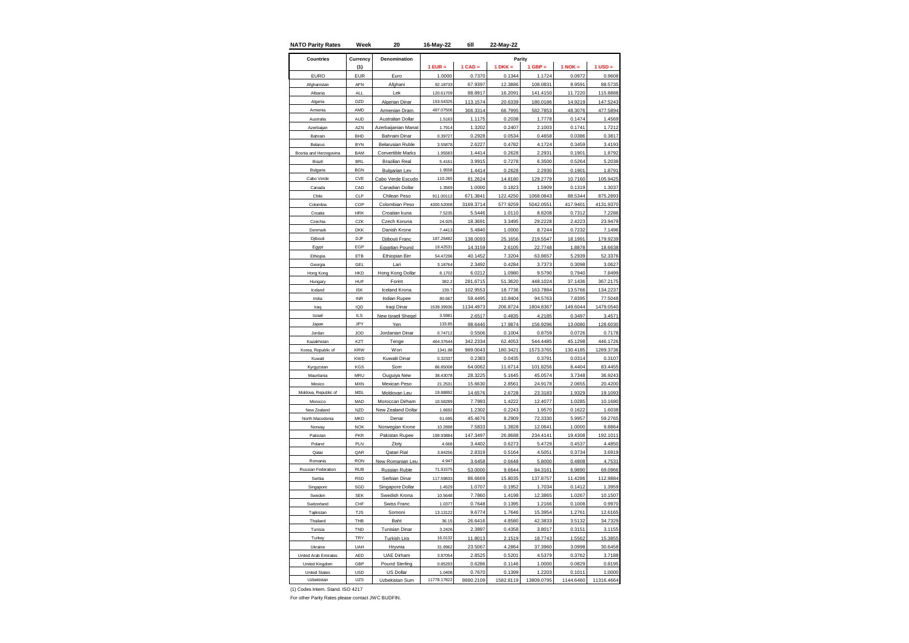| <b>NATO Parity Rates</b> | Week          | 20                      | 16-May-22   | till      | 22-May-22 |            |             |             |
|--------------------------|---------------|-------------------------|-------------|-----------|-----------|------------|-------------|-------------|
| <b>Countries</b>         | Currency      | Denomination            |             |           | Parity    |            |             |             |
|                          | (1)           |                         | $1$ EUR =   | $1$ CAD = | $1 DKK =$ | $1$ GBP =  | $1$ NOK $=$ | $1$ USD $=$ |
| <b>EURO</b>              | <b>EUR</b>    | Euro                    | 1.0000      | 0.7370    | 0.1344    | 1.1724     | 0.0972      | 0.9608      |
| Afghanistar              | AFN           | Afghani                 | 92.1873     | 67.9397   | 12.3886   | 108.0831   | 8.9591      | 88.5735     |
| Albania                  | <b>ALL</b>    | Lek                     | 120.61709   | 88.8917   | 16.2091   | 141.4150   | 11.7220     | 115.8888    |
| Algeria                  | DZD           | Algerian Dinar          | 153.54325   | 113.1574  | 20.6339   | 180.0186   | 14.9219     | 147.5243    |
| Armenia                  | AMD           | Armenian Dram           | 497.07506   | 366.3314  | 66.7995   | 582.7853   | 48.3076     | 477.5894    |
| Australia                | AUD           | Australian Dollar       | 1.5163      | 1.1175    | 0.2038    | 1.7778     | 0.1474      | 1.4569      |
| Azerbaijan               | A7N           | zerbaijanian Manat      | 1.7914      | 1.3202    | 0.2407    | 2.1003     | 0.1741      | 1.7212      |
| Bahrain                  | <b>BHD</b>    | <b>Bahraini Dinar</b>   | 0.39727     | 0.2928    | 0.0534    | 0.4658     | 0.0386      | 0.3817      |
| Belarus                  | <b>BYN</b>    | <b>Belarusian Ruble</b> | 3.55878     | 2.6227    | 0.4782    | 4.1724     | 0.3459      | 3.4193      |
| Bosnia and Herzegovina   | <b>BAM</b>    | Convertible Marks       | 1.95583     | 1.4414    | 0.2628    | 2.2931     | 0.1901      | 1.8792      |
| Brazil                   | <b>BRL</b>    | <b>Brazilian Real</b>   | 5.4161      | 3.9915    | 0.7278    | 6.3500     | 0.5264      | 5.2038      |
| Bulgaria                 | <b>BGN</b>    | <b>Bulgarian Lev</b>    | 1.9558      | 1.4414    | 0.2628    | 2.2930     | 0.1901      | 1.8791      |
| Cabo Verde               | CVE           | Cabo Verde Escudo       | 110.265     | 81.2624   | 14.8180   | 129.2779   | 10.7160     | 105.9425    |
| Canada                   | CAD           | Canadian Dollar         | 1.3569      | 1.0000    | 0.1823    | 1.5909     | 0.1319      | 1.3037      |
| Chile                    | CLP           | Chilean Peso            | 911.00112   | 671.3841  | 122.4250  | 1068.0843  | 88.5344     | 875.2893    |
| Colombia                 | COP           | Colombian Peso          | 4300.52008  | 3169.3714 | 577.9259  | 5042.0551  | 417.9401    | 4131.9370   |
| Croatia                  | <b>HRK</b>    | Croatian kuna           | 7.5235      | 5.5446    | 1.0110    | 8.8208     | 0.7312      | 7.2286      |
| Czechia                  | CZK           | Czech Koruna            | 24.925      | 18.3691   | 3.3495    | 29.2228    | 2.4223      | 23.9479     |
| Denmark                  | <b>DKK</b>    | Danish Krone            | 7.4413      | 5.4840    | 1.0000    | 8.7244     | 0.7232      | 7.1496      |
| Djibouti                 | DJF           | Djibouti Franc          | 187.26482   | 138.0093  | 25.1656   | 219.5547   | 18.1991     | 179.9239    |
| Egypt                    | EGP           | Egyptian Pound          | 19.42531    | 14.3159   | 2.6105    | 22.7748    | 1.8878      | 18.6638     |
| Ethiopia                 | ETB           | Ethiopian Birr          | 54,47296    | 40.1452   | 7.3204    | 63.8657    | 5.2939      | 52.3376     |
| Georgia                  | GEL           | Lari                    | 3.18764     | 2.3492    | 0.4284    | 3.7373     | 0.3098      | 3.0627      |
| Hong Kong                | HKD           | Hong Kong Dollar        | 8.1702      | 6.0212    | 1.0980    | 9.5790     | 0.7940      | 7.8499      |
| Hungary                  | HUF           | Forint                  | 382.2       | 281.6715  | 51.3620   | 448.1024   | 37.1436     | 367.2175    |
| Iceland                  | <b>ISK</b>    | Iceland Krona           | 139.7       | 102.9553  | 18.7736   | 163.7884   | 13.5766     | 134.2237    |
| India                    | <b>INR</b>    | Indian Rupee            | 80.667      | 59.4495   | 10.8404   | 94.5763    | 7.8395      | 77.5048     |
| Iraq                     | IQD           | Iraqi Dinar             | 1539.39936  | 1134.4973 | 206.8724  | 1804.8367  | 149.6044    | 1479.0540   |
| Israel                   | $\parallel$ S | New Israeli Sheqel      | 3.5981      | 2.6517    | 0.4835    | 4.2185     | 0.3497      | 3.4571      |
| Japan                    | JPY           | Yen                     | 133.85      | 98.6440   | 17.9874   | 156.9296   | 13.0080     | 128.6030    |
| Jordan                   | JOD           | Jordanian Dinar         | 0.74712     | 0.5506    | 0.1004    | 0.8759     | 0.0726      | 0.7178      |
| Kazakhstan               | KZT           | Tenge                   | 464.37644   | 342.2334  | 62.4053   | 544.4485   | 45.1298     | 446.1726    |
| Korea, Republic of       | <b>KRW</b>    | Won                     | 1341.98     | 989.0043  | 180.3421  | 1573.3765  | 130.4185    | 1289.3736   |
| Kuwait                   | <b>KWD</b>    | Kuwaiti Dinar           | 0.32337     | 0.2383    | 0.0435    | 0.3791     | 0.0314      | 0.3107      |
| Kyrgyzstan               | KGS           | Som                     | 86.85008    | 64.0062   | 11.6714   | 101.8256   | 8.4404      | 83.4455     |
| Mauritania               | MRU           | Ouguiya New             | 38.43078    | 28.3225   | 5.1645    | 45.0574    | 3.7348      | 36.9243     |
| Mexico                   | <b>MXN</b>    | <b>Mexican Peso</b>     | 21.2531     | 15.6630   | 2.8561    | 24.9178    | 2.0655      | 20.4200     |
| Moldova, Republic of     | MDL           | Moldovan Leu            | 19,8889     | 14.6576   | 2.6728    | 23.3183    | 1.9329      | 19.1093     |
| Morocco                  | MAD           | Moroccan Dirham         | 10.58289    | 7.7993    | 1.4222    | 12.4077    | 1.0285      | 10.1680     |
| New Zealand              | <b>NZD</b>    | New Zealand Dollar      | 1.6692      | 1.2302    | 0.2243    | 1.9570     | 0.1622      | 1.6038      |
| North Macedonia          | <b>MKD</b>    | Denar                   | 61.695      | 45.4676   | 8.2909    | 72.3330    | 5.9957      | 59.2765     |
| Norway                   | <b>NOK</b>    | Norwegian Krone         | 10.2898     | 7.5833    | 1.3828    | 12.0641    | 1.0000      | 9.8864      |
| Pakistan                 | PKR           | Pakistan Rupee          | 199.93884   | 147.3497  | 26.8688   | 234.4141   | 19.4308     | 192.1011    |
| Poland                   | PLN           | Zloty                   | 4.668       | 3.4402    | 0.6273    | 5.4729     | 0.4537      | 4.4850      |
| Qatar                    | QAR           | Qatari Rial             | 3.84256     | 2.8319    | 0.5164    | 4.5051     | 0.3734      | 3.6919      |
| Romania                  | <b>RON</b>    | New Romanian Leu        | 4.947       | 3.6458    | 0.6648    | 5.8000     | 0.4808      | 4.7531      |
| Russian Federation       | <b>RUB</b>    | Russian Ruble           | 71.91575    | 53.0000   | 9.6644    | 84.3161    | 6.9890      | 69.0966     |
| Serbia                   | <b>RSD</b>    | Serbian Dinar           | 117,5983    | 86.6669   | 15.8035   | 137.8757   | 11,4286     | 112.9884    |
| Singapore                | SGD           | Singapore Dollar        | 1.4529      | 1.0707    | 0.1952    | 1.7034     | 0.1412      | 1.3959      |
| Sweden                   | <b>SEK</b>    | Swedish Krona           | 10.5648     | 7.7860    | 1.4198    | 12.3865    | 1.0267      | 10.1507     |
| Switzerland              | CHF           | <b>Swiss Franc</b>      | 1.0377      | 0.7648    | 0.1395    | 1.2166     | 0.1008      | 0.9970      |
| Taiikistan               | <b>TJS</b>    | Somoni                  | 13.13122    | 9.6774    | 1.7646    | 15.3954    | 1.2761      | 12.6165     |
| Thailand                 | THB           | Baht                    | 36.15       | 26.6416   | 4.8580    | 42.3833    | 3.5132      | 34.7329     |
| Tunisia                  | TND           | <b>Tunisian Dinar</b>   | 3.2426      | 2.3897    | 0.4358    | 3.8017     | 0.3151      | 3.1155      |
| Turkey                   | TRY           | Turkish Lira            | 16.0132     | 11.8013   | 2.1519    | 18.7743    | 1.5562      | 15.3855     |
| Ukraine                  | UAH           | Hrvnia                  | 31.8962     | 23.5067   | 4.2864    | 37.3960    | 3.0998      | 30.6458     |
| United Arab Emirates     | AED           | <b>UAE Dirham</b>       | 3.87054     | 2.8525    | 0.5201    | 4.5379     | 0.3762      | 3.7188      |
| United Kingdom           | GBP           | <b>Pound Sterling</b>   | 0.85293     | 0.6286    | 0.1146    | 1.0000     | 0.0829      | 0.8195      |
| <b>United States</b>     | <b>USD</b>    | US Dollar               | 1.0408      | 0.7670    | 0.1399    | 1.2203     | 0.1011      | 1.0000      |
| Uzbekistan               | UZS           | Uzbekistan Sum          | 11778.17822 | 8680.2109 | 1582.8119 | 13809.0795 | 1144.6460   | 11316.4664  |